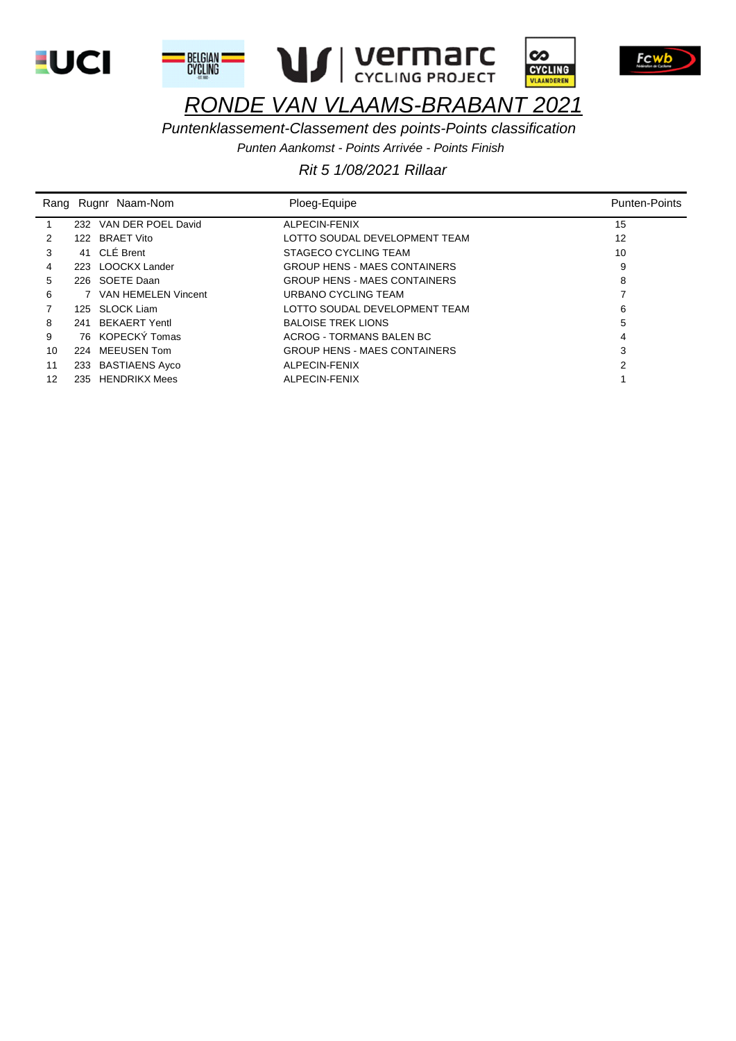







 $\infty$ 

**CYCLING** VLAANDEREN

# RONDE VAN VLAAMS-BRABANT 2021

Puntenklassement-Classement des points-Points classification

Punten Aankomst - Points Arrivée - Points Finish

|    |     | Rang Rugnr Naam-Nom    | Ploeg-Equipe                        | <b>Punten-Points</b> |
|----|-----|------------------------|-------------------------------------|----------------------|
|    |     | 232 VAN DER POEL David | ALPECIN-FENIX                       | 15                   |
| 2  |     | 122 BRAET Vito         | LOTTO SOUDAL DEVELOPMENT TEAM       | 12                   |
| 3  |     | 41 CLÉ Brent           | STAGECO CYCLING TEAM                | 10                   |
| 4  |     | 223 LOOCKX Lander      | <b>GROUP HENS - MAES CONTAINERS</b> | 9                    |
| 5  |     | 226 SOETE Daan         | <b>GROUP HENS - MAES CONTAINERS</b> | 8                    |
| 6  |     | 7 VAN HEMELEN Vincent  | URBANO CYCLING TEAM                 |                      |
|    |     | 125 SLOCK Liam         | LOTTO SOUDAL DEVELOPMENT TEAM       | 6                    |
| 8  |     | 241 BEKAERT Yentl      | <b>BALOISE TREK LIONS</b>           | 5                    |
| 9  |     | 76 KOPECKÝ Tomas       | ACROG - TORMANS BALEN BC            | 4                    |
| 10 |     | 224 MEEUSEN Tom        | <b>GROUP HENS - MAES CONTAINERS</b> | 3                    |
| 11 |     | 233 BASTIAENS Ayco     | ALPECIN-FENIX                       | 2                    |
| 12 | 235 | <b>HENDRIKX Mees</b>   | ALPECIN-FENIX                       |                      |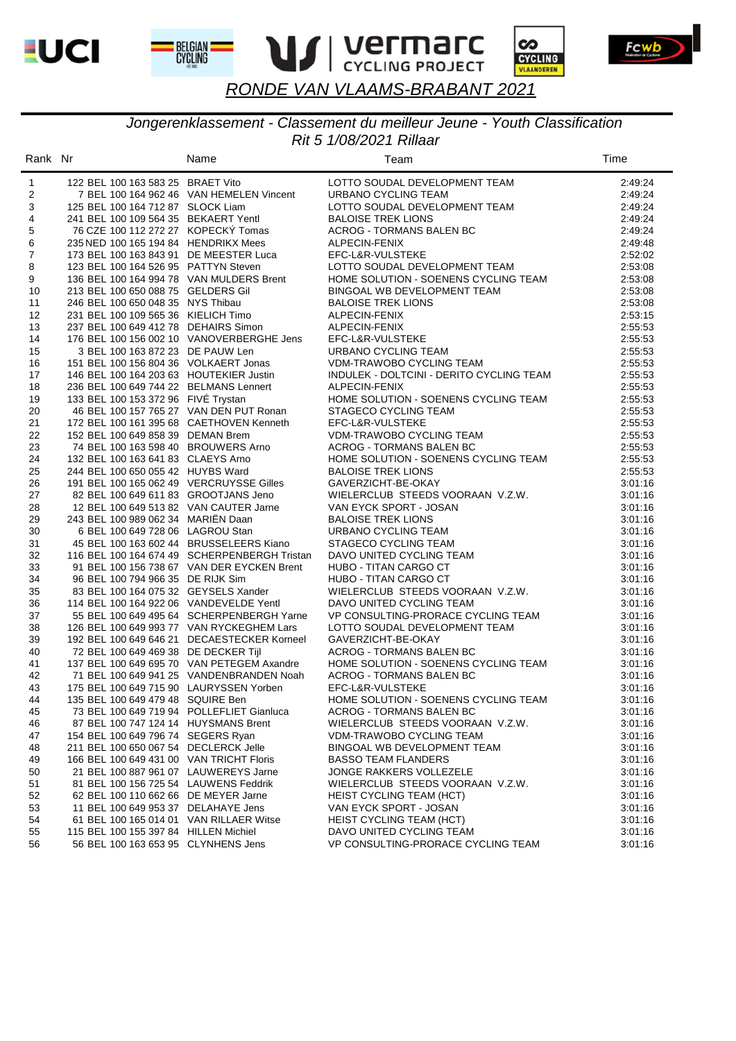







Fcwb

# *RONDE VAN VLAAMS-BRABANT 2021*

#### *Rit 5 1/08/2021 Rillaar Jongerenklassement - Classement du meilleur Jeune - Youth Classification*

| Rank Nr        |                                           | Name                                         | Team                                     | Time    |
|----------------|-------------------------------------------|----------------------------------------------|------------------------------------------|---------|
| $\mathbf{1}$   | 122 BEL 100 163 583 25 BRAET Vito         |                                              | LOTTO SOUDAL DEVELOPMENT TEAM            | 2:49:24 |
| 2              |                                           | 7 BEL 100 164 962 46 VAN HEMELEN Vincent     | URBANO CYCLING TEAM                      | 2:49:24 |
| 3              | 125 BEL 100 164 712 87 SLOCK Liam         |                                              | LOTTO SOUDAL DEVELOPMENT TEAM            | 2:49:24 |
| 4              | 241 BEL 100 109 564 35 BEKAERT Yentl      |                                              | <b>BALOISE TREK LIONS</b>                | 2:49:24 |
| 5              | 76 CZE 100 112 272 27 KOPECKÝ Tomas       |                                              | ACROG - TORMANS BALEN BC                 | 2:49:24 |
| 6              | 235 NED 100 165 194 84 HENDRIKX Mees      |                                              | ALPECIN-FENIX                            | 2:49:48 |
| $\overline{7}$ | 173 BEL 100 163 843 91 DE MEESTER Luca    |                                              | EFC-L&R-VULSTEKE                         | 2:52:02 |
| 8              | 123 BEL 100 164 526 95 PATTYN Steven      |                                              | LOTTO SOUDAL DEVELOPMENT TEAM            | 2:53:08 |
| 9              | 136 BEL 100 164 994 78 VAN MULDERS Brent  |                                              | HOME SOLUTION - SOENENS CYCLING TEAM     | 2:53:08 |
| 10             | 213 BEL 100 650 088 75 GELDERS Gil        |                                              | BINGOAL WB DEVELOPMENT TEAM              | 2:53:08 |
| 11             | 246 BEL 100 650 048 35 NYS Thibau         |                                              | <b>BALOISE TREK LIONS</b>                | 2:53:08 |
| 12             | 231 BEL 100 109 565 36 KIELICH Timo       |                                              | ALPECIN-FENIX                            | 2:53:15 |
| 13             | 237 BEL 100 649 412 78 DEHAIRS Simon      |                                              | ALPECIN-FENIX                            | 2:55:53 |
| 14             |                                           | 176 BEL 100 156 002 10 VANOVERBERGHE Jens    | EFC-L&R-VULSTEKE                         | 2:55:53 |
| 15             | 3 BEL 100 163 872 23 DE PAUW Len          |                                              | URBANO CYCLING TEAM                      | 2:55:53 |
| 16             | 151 BEL 100 156 804 36 VOLKAERT Jonas     |                                              | VDM-TRAWOBO CYCLING TEAM                 | 2:55:53 |
| 17             | 146 BEL 100 164 203 63 HOUTEKIER Justin   |                                              | INDULEK - DOLTCINI - DERITO CYCLING TEAM | 2:55:53 |
| 18             | 236 BEL 100 649 744 22 BELMANS Lennert    |                                              | ALPECIN-FENIX                            | 2:55:53 |
| 19             | 133 BEL 100 153 372 96 FIVE Trystan       |                                              | HOME SOLUTION - SOENENS CYCLING TEAM     | 2:55:53 |
| 20             | 46 BEL 100 157 765 27 VAN DEN PUT Ronan   |                                              | STAGECO CYCLING TEAM                     | 2:55:53 |
| 21             | 172 BEL 100 161 395 68 CAETHOVEN Kenneth  |                                              | EFC-L&R-VULSTEKE                         | 2:55:53 |
| 22             | 152 BEL 100 649 858 39 DEMAN Brem         |                                              | VDM-TRAWOBO CYCLING TEAM                 | 2:55:53 |
| 23             | 74 BEL 100 163 598 40 BROUWERS Arno       |                                              | ACROG - TORMANS BALEN BC                 | 2:55:53 |
| 24             | 132 BEL 100 163 641 83 CLAEYS Arno        |                                              | HOME SOLUTION - SOENENS CYCLING TEAM     | 2:55:53 |
| 25             | 244 BEL 100 650 055 42 HUYBS Ward         |                                              | <b>BALOISE TREK LIONS</b>                | 2:55:53 |
| 26             | 191 BEL 100 165 062 49 VERCRUYSSE Gilles  |                                              | GAVERZICHT-BE-OKAY                       | 3:01:16 |
| 27             | 82 BEL 100 649 611 83 GROOTJANS Jeno      |                                              | WIELERCLUB STEEDS VOORAAN V.Z.W.         | 3:01:16 |
| 28             | 12 BEL 100 649 513 82 VAN CAUTER Jarne    |                                              | VAN EYCK SPORT - JOSAN                   | 3:01:16 |
| 29             | 243 BEL 100 989 062 34 MARIËN Daan        |                                              | <b>BALOISE TREK LIONS</b>                | 3:01:16 |
| 30             | 6 BEL 100 649 728 06 LAGROU Stan          |                                              | URBANO CYCLING TEAM                      | 3:01:16 |
| 31             | 45 BEL 100 163 602 44 BRUSSELEERS Kiano   |                                              | STAGECO CYCLING TEAM                     | 3:01:16 |
| 32             |                                           | 116 BEL 100 164 674 49 SCHERPENBERGH Tristan | DAVO UNITED CYCLING TEAM                 | 3:01:16 |
| 33             |                                           | 91 BEL 100 156 738 67 VAN DER EYCKEN Brent   | <b>HUBO - TITAN CARGO CT</b>             | 3:01:16 |
| 34             | 96 BEL 100 794 966 35 DE RIJK Sim         |                                              | HUBO - TITAN CARGO CT                    | 3:01:16 |
| 35             | 83 BEL 100 164 075 32 GEYSELS Xander      |                                              | WIELERCLUB STEEDS VOORAAN V.Z.W.         | 3:01:16 |
| 36             | 114 BEL 100 164 922 06 VANDEVELDE Yentl   |                                              | DAVO UNITED CYCLING TEAM                 | 3:01:16 |
| 37             |                                           | 55 BEL 100 649 495 64 SCHERPENBERGH Yarne    | VP CONSULTING-PRORACE CYCLING TEAM       | 3:01:16 |
| 38             |                                           | 126 BEL 100 649 993 77 VAN RYCKEGHEM Lars    | LOTTO SOUDAL DEVELOPMENT TEAM            | 3:01:16 |
| 39             |                                           | 192 BEL 100 649 646 21 DECAESTECKER Korneel  | GAVERZICHT-BE-OKAY                       | 3:01:16 |
| 40             | 72 BEL 100 649 469 38 DE DECKER Tijl      |                                              | <b>ACROG - TORMANS BALEN BC</b>          | 3:01:16 |
| 41             |                                           | 137 BEL 100 649 695 70 VAN PETEGEM Axandre   | HOME SOLUTION - SOENENS CYCLING TEAM     | 3:01:16 |
| 42             |                                           | 71 BEL 100 649 941 25 VANDENBRANDEN Noah     | <b>ACROG - TORMANS BALEN BC</b>          | 3:01:16 |
| 43             | 175 BEL 100 649 715 90 LAURYSSEN Yorben   |                                              | EFC-L&R-VULSTEKE                         | 3:01:16 |
| 44             | 135 BEL 100 649 479 48 SQUIRE Ben         |                                              | HOME SOLUTION - SOENENS CYCLING TEAM     | 3:01:16 |
| 45             | 73 BEL 100 649 719 94 POLLEFLIET Gianluca |                                              | <b>ACROG - TORMANS BALEN BC</b>          | 3:01:16 |
| 46             | 87 BEL 100 747 124 14 HUYSMANS Brent      |                                              | WIELERCLUB STEEDS VOORAAN V.Z.W.         | 3:01:16 |
| 47             | 154 BEL 100 649 796 74 SEGERS Ryan        |                                              | VDM-TRAWOBO CYCLING TEAM                 | 3:01:16 |
| 48             | 211 BEL 100 650 067 54 DECLERCK Jelle     |                                              | BINGOAL WB DEVELOPMENT TEAM              | 3:01:16 |
| 49             | 166 BEL 100 649 431 00 VAN TRICHT Floris  |                                              | <b>BASSO TEAM FLANDERS</b>               | 3:01:16 |
| 50             | 21 BEL 100 887 961 07 LAUWEREYS Jarne     |                                              | <b>JONGE RAKKERS VOLLEZELE</b>           | 3:01:16 |
| 51             | 81 BEL 100 156 725 54 LAUWENS Feddrik     |                                              | WIELERCLUB STEEDS VOORAAN V.Z.W.         | 3:01:16 |
| 52             | 62 BEL 100 110 662 66 DE MEYER Jarne      |                                              | <b>HEIST CYCLING TEAM (HCT)</b>          | 3:01:16 |
| 53             | 11 BEL 100 649 953 37 DELAHAYE Jens       |                                              | VAN EYCK SPORT - JOSAN                   | 3:01:16 |
| 54             | 61 BEL 100 165 014 01 VAN RILLAER Witse   |                                              | <b>HEIST CYCLING TEAM (HCT)</b>          | 3:01:16 |
| 55             | 115 BEL 100 155 397 84 HILLEN Michiel     |                                              | DAVO UNITED CYCLING TEAM                 | 3:01:16 |
| 56             | 56 BEL 100 163 653 95 CLYNHENS Jens       |                                              | VP CONSULTING-PRORACE CYCLING TEAM       | 3:01:16 |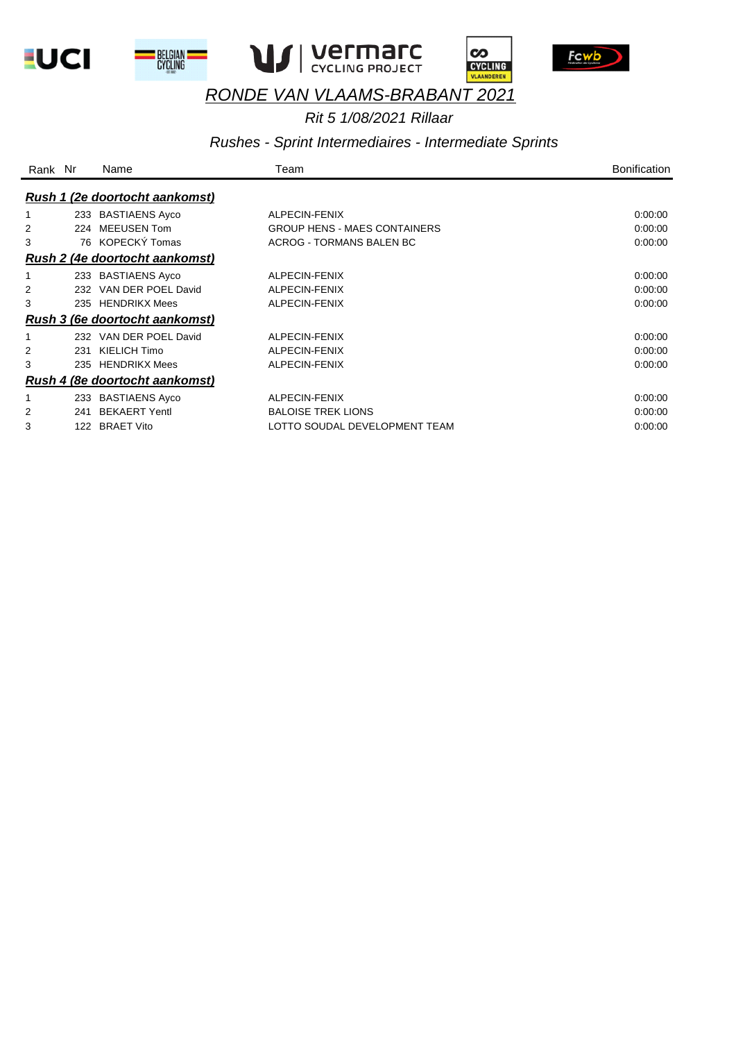



 $\mathbf{r}$ 







# *RONDE VAN VLAAMS-BRABANT 2021*

#### *Rit 5 1/08/2021 Rillaar*

#### *Rushes - Sprint Intermediaires - Intermediate Sprints*

| Rank Nr |     | Name                                  | Team                                | <b>Bonification</b> |
|---------|-----|---------------------------------------|-------------------------------------|---------------------|
|         |     | <b>Rush 1 (2e doortocht aankomst)</b> |                                     |                     |
|         |     | 233 BASTIAENS Ayco                    | ALPECIN-FENIX                       | 0:00:00             |
| 2       | 224 | <b>MEEUSEN Tom</b>                    | <b>GROUP HENS - MAES CONTAINERS</b> | 0:00:00             |
| 3       |     | 76 KOPECKÝ Tomas                      | <b>ACROG - TORMANS BALEN BC</b>     | 0:00:00             |
|         |     | <b>Rush 2 (4e doortocht aankomst)</b> |                                     |                     |
|         |     | 233 BASTIAENS Ayco                    | ALPECIN-FENIX                       | 0:00:00             |
| 2       |     | 232 VAN DER POEL David                | ALPECIN-FENIX                       | 0:00:00             |
| 3       |     | 235 HENDRIKX Mees                     | ALPECIN-FENIX                       | 0:00:00             |
|         |     | <b>Rush 3 (6e doortocht aankomst)</b> |                                     |                     |
|         |     | 232 VAN DER POEL David                | ALPECIN-FENIX                       | 0:00:00             |
| 2       | 231 | KIELICH Timo                          | ALPECIN-FENIX                       | 0:00:00             |
| 3       | 235 | <b>HENDRIKX Mees</b>                  | ALPECIN-FENIX                       | 0:00:00             |
|         |     | <b>Rush 4 (8e doortocht aankomst)</b> |                                     |                     |
|         |     | 233 BASTIAENS Ayco                    | ALPECIN-FENIX                       | 0:00:00             |
| 2       | 241 | <b>BEKAERT Yentl</b>                  | <b>BALOISE TREK LIONS</b>           | 0:00:00             |
| 3       | 122 | <b>BRAET Vito</b>                     | LOTTO SOUDAL DEVELOPMENT TEAM       | 0:00:00             |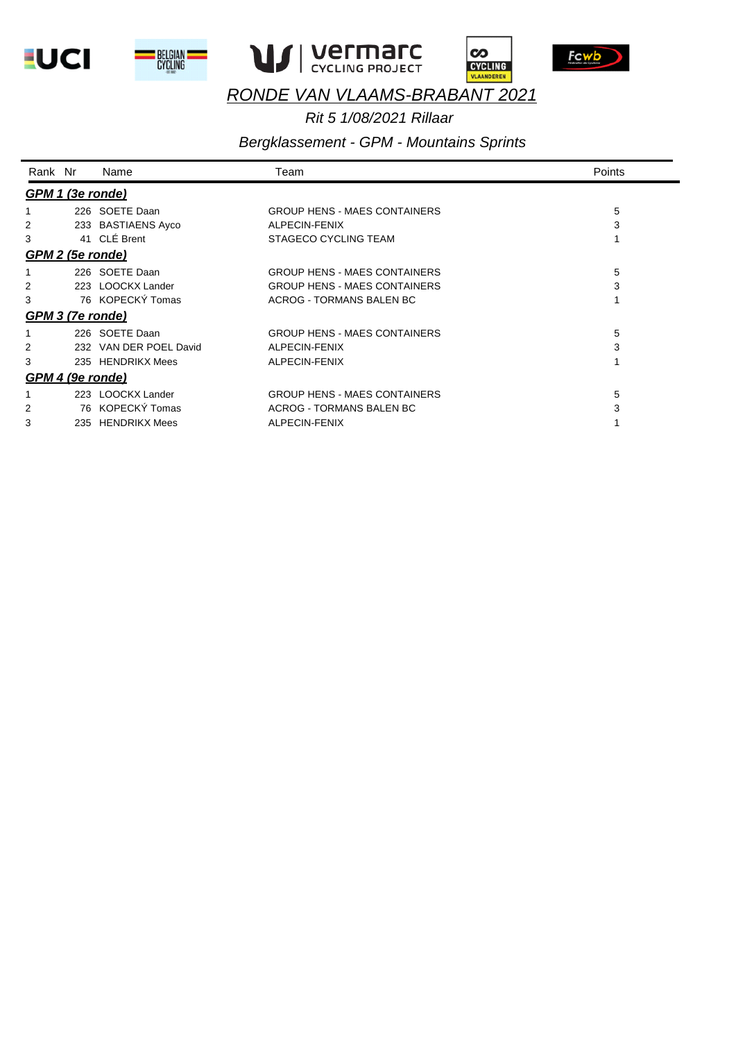









## *Rit 5 1/08/2021 Rillaar*

# *Bergklassement - GPM - Mountains Sprints*

| Rank Nr          | Name                   | Team                                | Points |
|------------------|------------------------|-------------------------------------|--------|
| GPM 1 (3e ronde) |                        |                                     |        |
|                  | 226 SOETE Daan         | <b>GROUP HENS - MAES CONTAINERS</b> | 5      |
| 2                | 233 BASTIAENS Ayco     | ALPECIN-FENIX                       | 3      |
| 3                | 41 CIF Brent           | STAGECO CYCLING TEAM                |        |
| GPM 2 (5e ronde) |                        |                                     |        |
|                  | 226 SOETE Daan         | <b>GROUP HENS - MAES CONTAINERS</b> | 5      |
| 2                | 223 LOOCKX Lander      | <b>GROUP HENS - MAES CONTAINERS</b> | 3      |
| 3                | 76 KOPECKÝ Tomas       | ACROG - TORMANS BALEN BC            |        |
| GPM 3 (7e ronde) |                        |                                     |        |
|                  | 226 SOETE Daan         | <b>GROUP HENS - MAES CONTAINERS</b> | 5      |
| 2                | 232 VAN DER POEL David | ALPECIN-FENIX                       | 3      |
| 3                | 235 HENDRIKX Mees      | ALPECIN-FENIX                       |        |
| GPM 4 (9e ronde) |                        |                                     |        |
|                  | 223 LOOCKX Lander      | <b>GROUP HENS - MAES CONTAINERS</b> | 5      |
| 2                | 76 KOPECKÝ Tomas       | ACROG - TORMANS BALEN BC            | 3      |
| 3                | 235 HENDRIKX Mees      | ALPECIN-FENIX                       |        |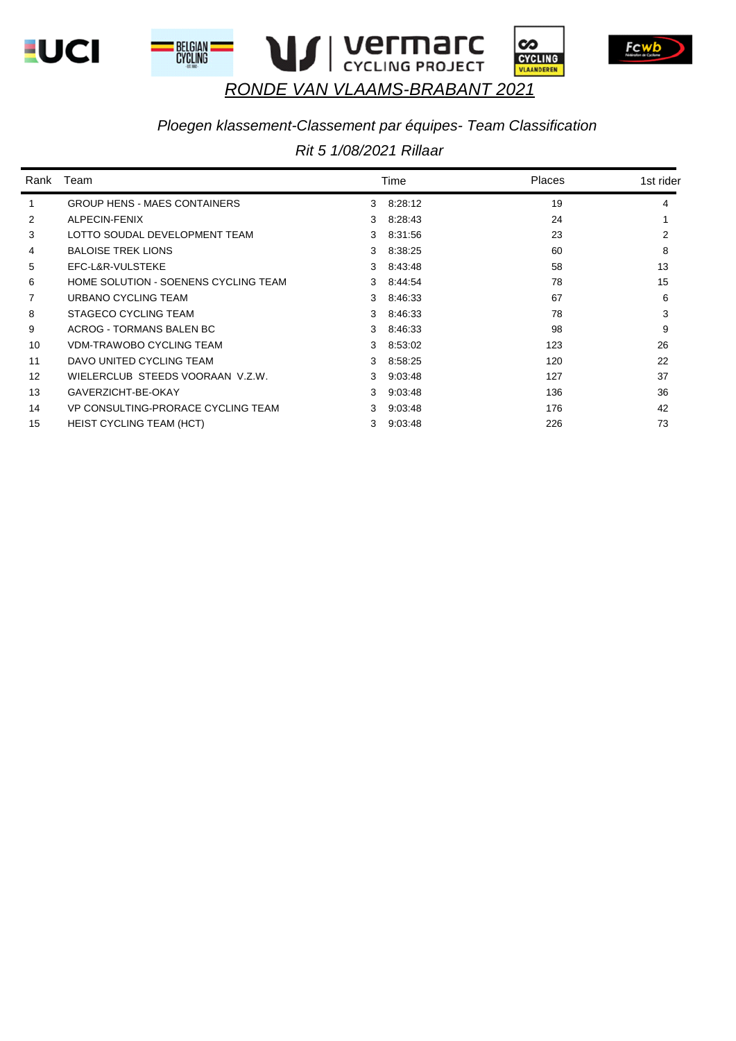







### *Ploegen klassement-Classement par équipes- Team Classification*

|    | Rank Team                            |               | Time      | Places | 1st rider |
|----|--------------------------------------|---------------|-----------|--------|-----------|
| 1  | <b>GROUP HENS - MAES CONTAINERS</b>  |               | 3 8:28:12 | 19     | 4         |
| 2  | ALPECIN-FENIX                        |               | 3 8:28:43 | 24     |           |
| 3  | LOTTO SOUDAL DEVELOPMENT TEAM        |               | 3 8.31.56 | 23     | 2         |
| 4  | <b>BALOISE TREK LIONS</b>            |               | 3 8:38:25 | 60     | 8         |
| 5  | EFC-L&R-VULSTEKE                     |               | 3 8:43:48 | 58     | 13        |
| 6  | HOME SOLUTION - SOENENS CYCLING TEAM | 3             | 8:44:54   | 78     | 15        |
| 7  | URBANO CYCLING TEAM                  |               | 3 8.46.33 | 67     | 6         |
| 8  | STAGECO CYCLING TEAM                 |               | 3 8:46:33 | 78     | 3         |
| 9  | ACROG - TORMANS BALEN BC             | 3             | 8:46:33   | 98     | 9         |
| 10 | VDM-TRAWOBO CYCLING TEAM             |               | 3 8.53.02 | 123    | 26        |
| 11 | DAVO UNITED CYCLING TEAM             |               | 3 8:58:25 | 120    | 22        |
| 12 | WIELERCLUB STEEDS VOORAAN V.Z.W.     | $\mathcal{S}$ | 9:03:48   | 127    | 37        |
| 13 | GAVERZICHT-BE-OKAY                   | $\mathcal{B}$ | 9.03.48   | 136    | 36        |
| 14 | VP CONSULTING-PRORACE CYCLING TEAM   |               | 9:03:48   | 176    | 42        |
| 15 | <b>HEIST CYCLING TEAM (HCT)</b>      | 3             | 9:03:48   | 226    | 73        |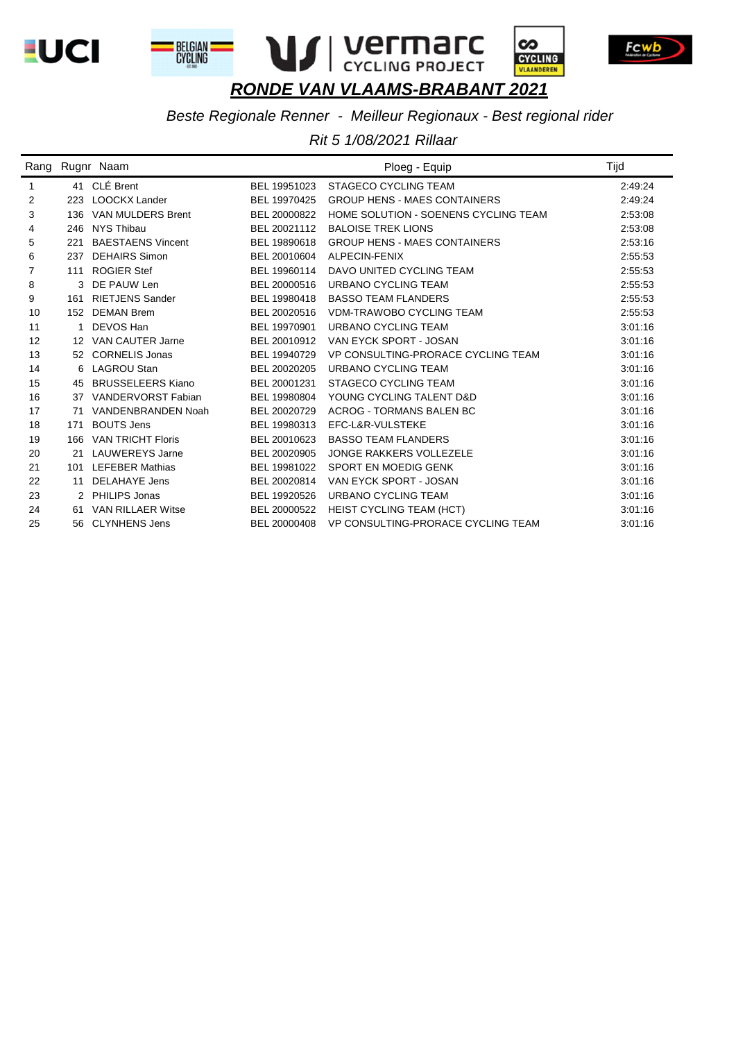









*Beste Regionale Renner - Meilleur Regionaux - Best regional rider*

|                   |     | Rang Rugnr Naam          |              | Ploeg - Equip                        | Tijd    |
|-------------------|-----|--------------------------|--------------|--------------------------------------|---------|
| 1                 |     | 41 CLÉ Brent             | BEL 19951023 | <b>STAGECO CYCLING TEAM</b>          | 2:49:24 |
| 2                 | 223 | <b>LOOCKX Lander</b>     | BEL 19970425 | <b>GROUP HENS - MAES CONTAINERS</b>  | 2:49:24 |
| 3                 |     | 136 VAN MULDERS Brent    | BEL 20000822 | HOME SOLUTION - SOENENS CYCLING TEAM | 2:53:08 |
| 4                 | 246 | NYS Thibau               | BEL 20021112 | <b>BALOISE TREK LIONS</b>            | 2:53:08 |
| 5                 | 221 | <b>BAESTAENS Vincent</b> | BEL 19890618 | <b>GROUP HENS - MAES CONTAINERS</b>  | 2:53:16 |
| 6                 | 237 | <b>DEHAIRS Simon</b>     | BEL 20010604 | ALPECIN-FENIX                        | 2:55:53 |
| 7                 | 111 | <b>ROGIER Stef</b>       | BEL 19960114 | DAVO UNITED CYCLING TEAM             | 2:55:53 |
| 8                 |     | 3 DE PAUW Len            | BEL 20000516 | URBANO CYCLING TEAM                  | 2:55:53 |
| 9                 | 161 | <b>RIETJENS Sander</b>   | BEL 19980418 | <b>BASSO TEAM FLANDERS</b>           | 2:55:53 |
| 10                | 152 | <b>DEMAN Brem</b>        | BEL 20020516 | <b>VDM-TRAWOBO CYCLING TEAM</b>      | 2:55:53 |
| 11                |     | DEVOS Han                | BEL 19970901 | URBANO CYCLING TEAM                  | 3:01:16 |
| $12 \overline{ }$ |     | 12 VAN CAUTER Jarne      | BEL 20010912 | VAN EYCK SPORT - JOSAN               | 3:01:16 |
| 13                | 52  | <b>CORNELIS Jonas</b>    | BEL 19940729 | VP CONSULTING-PRORACE CYCLING TEAM   | 3:01:16 |
| 14                |     | 6 LAGROU Stan            | BEL 20020205 | URBANO CYCLING TEAM                  | 3:01:16 |
| 15                | 45  | <b>BRUSSELEERS Kiano</b> | BEL 20001231 | <b>STAGECO CYCLING TEAM</b>          | 3:01:16 |
| 16                | 37  | VANDERVORST Fabian       | BEL 19980804 | YOUNG CYCLING TALENT D&D             | 3:01:16 |
| 17                | 71  | VANDENBRANDEN Noah       | BEL 20020729 | <b>ACROG - TORMANS BALEN BC</b>      | 3:01:16 |
| 18                | 171 | <b>BOUTS Jens</b>        | BEL 19980313 | EFC-L&R-VULSTEKE                     | 3:01:16 |
| 19                | 166 | <b>VAN TRICHT Floris</b> | BEL 20010623 | <b>BASSO TEAM FLANDERS</b>           | 3:01:16 |
| 20                | 21  | LAUWEREYS Jarne          | BEL 20020905 | <b>JONGE RAKKERS VOLLEZELE</b>       | 3:01:16 |
| 21                | 101 | <b>LEFEBER Mathias</b>   | BEL 19981022 | <b>SPORT EN MOEDIG GENK</b>          | 3:01:16 |
| 22                | 11  | DELAHAYE Jens            | BEL 20020814 | VAN EYCK SPORT - JOSAN               | 3:01:16 |
| 23                | 2   | PHILIPS Jonas            | BEL 19920526 | URBANO CYCLING TEAM                  | 3:01:16 |
| 24                | 61  | <b>VAN RILLAER Witse</b> | BEL 20000522 | <b>HEIST CYCLING TEAM (HCT)</b>      | 3:01:16 |
| 25                | 56  | <b>CLYNHENS Jens</b>     | BEL 20000408 | VP CONSULTING-PRORACE CYCLING TEAM   | 3:01:16 |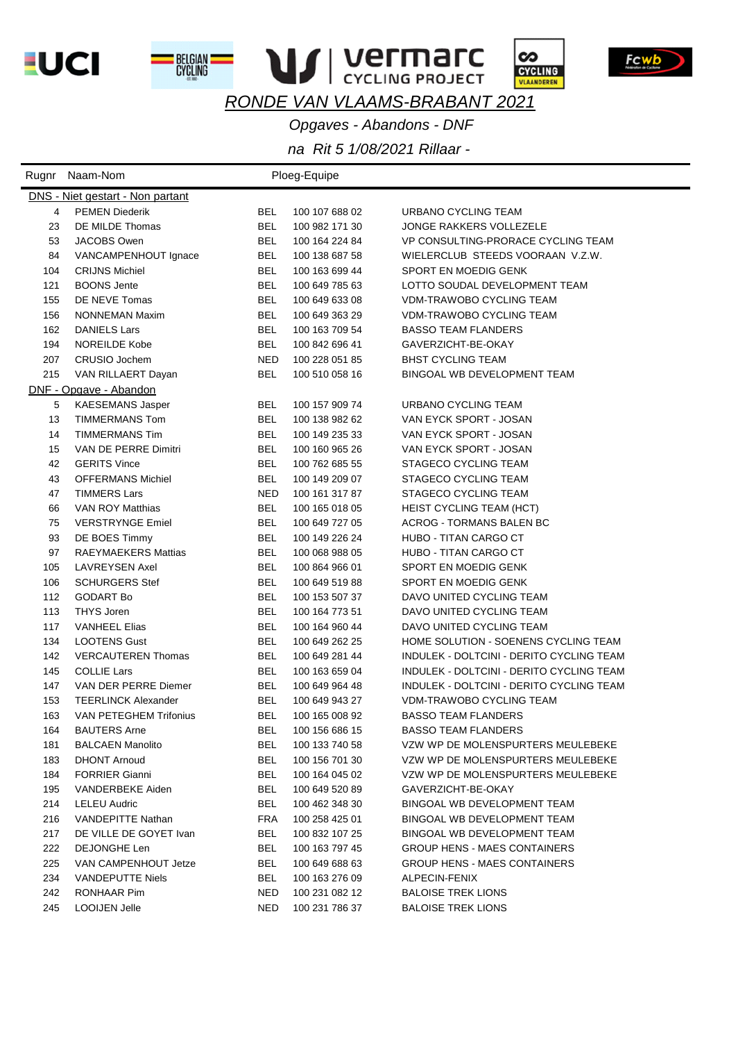**LUCI** 

BELGIAN<br>Cycling



Fcwb

**VI | VEFMAFC** *RONDE VAN VLAAMS-BRABANT 2021*

*Opgaves - Abandons - DNF*

|     | Rugnr Naam-Nom                          |            | Ploeg-Equipe   |                                          |
|-----|-----------------------------------------|------------|----------------|------------------------------------------|
|     | <b>DNS</b> - Niet gestart - Non partant |            |                |                                          |
| 4   | <b>PEMEN Diederik</b>                   | BEL        | 100 107 688 02 | URBANO CYCLING TEAM                      |
| 23  | DE MILDE Thomas                         | <b>BEL</b> | 100 982 171 30 | <b>JONGE RAKKERS VOLLEZELE</b>           |
| 53  | JACOBS Owen                             | <b>BEL</b> | 100 164 224 84 | VP CONSULTING-PRORACE CYCLING TEAM       |
| 84  | VANCAMPENHOUT Ignace                    | BEL        | 100 138 687 58 | WIELERCLUB STEEDS VOORAAN V.Z.W.         |
| 104 | <b>CRIJNS Michiel</b>                   | <b>BEL</b> | 100 163 699 44 | SPORT EN MOEDIG GENK                     |
| 121 | <b>BOONS Jente</b>                      | <b>BEL</b> | 100 649 785 63 | LOTTO SOUDAL DEVELOPMENT TEAM            |
| 155 | DE NEVE Tomas                           | <b>BEL</b> | 100 649 633 08 | <b>VDM-TRAWOBO CYCLING TEAM</b>          |
| 156 | <b>NONNEMAN Maxim</b>                   | <b>BEL</b> | 100 649 363 29 | <b>VDM-TRAWOBO CYCLING TEAM</b>          |
| 162 | <b>DANIELS Lars</b>                     | <b>BEL</b> | 100 163 709 54 | <b>BASSO TEAM FLANDERS</b>               |
| 194 | <b>NOREILDE Kobe</b>                    | <b>BEL</b> | 100 842 696 41 | GAVERZICHT-BE-OKAY                       |
| 207 | CRUSIO Jochem                           | <b>NED</b> | 100 228 051 85 | <b>BHST CYCLING TEAM</b>                 |
| 215 | VAN RILLAERT Dayan                      | <b>BEL</b> | 100 510 058 16 | BINGOAL WB DEVELOPMENT TEAM              |
|     | DNF - Opgave - Abandon                  |            |                |                                          |
| 5   | <b>KAESEMANS Jasper</b>                 | BEL        | 100 157 909 74 | URBANO CYCLING TEAM                      |
| 13  | TIMMERMANS Tom                          | <b>BEL</b> | 100 138 982 62 | VAN EYCK SPORT - JOSAN                   |
| 14  | <b>TIMMERMANS Tim</b>                   | <b>BEL</b> | 100 149 235 33 | VAN EYCK SPORT - JOSAN                   |
| 15  | VAN DE PERRE Dimitri                    | BEL        | 100 160 965 26 | VAN EYCK SPORT - JOSAN                   |
| 42  | <b>GERITS Vince</b>                     | <b>BEL</b> | 100 762 685 55 | STAGECO CYCLING TEAM                     |
| 43  | <b>OFFERMANS Michiel</b>                | <b>BEL</b> | 100 149 209 07 | STAGECO CYCLING TEAM                     |
| 47  | <b>TIMMERS Lars</b>                     | <b>NED</b> | 100 161 317 87 | STAGECO CYCLING TEAM                     |
| 66  | VAN ROY Matthias                        | <b>BEL</b> | 100 165 018 05 | <b>HEIST CYCLING TEAM (HCT)</b>          |
| 75  | <b>VERSTRYNGE Emiel</b>                 | <b>BEL</b> | 100 649 727 05 | <b>ACROG - TORMANS BALEN BC</b>          |
| 93  | DE BOES Timmy                           | <b>BEL</b> | 100 149 226 24 | HUBO - TITAN CARGO CT                    |
| 97  | <b>RAEYMAEKERS Mattias</b>              | <b>BEL</b> | 100 068 988 05 | HUBO - TITAN CARGO CT                    |
| 105 | <b>LAVREYSEN Axel</b>                   | <b>BEL</b> | 100 864 966 01 | SPORT EN MOEDIG GENK                     |
| 106 | <b>SCHURGERS Stef</b>                   | <b>BEL</b> | 100 649 519 88 | SPORT EN MOEDIG GENK                     |
| 112 | <b>GODART Bo</b>                        | <b>BEL</b> | 100 153 507 37 | DAVO UNITED CYCLING TEAM                 |
| 113 | <b>THYS Joren</b>                       | <b>BEL</b> | 100 164 773 51 | DAVO UNITED CYCLING TEAM                 |
| 117 | <b>VANHEEL Elias</b>                    | <b>BEL</b> | 100 164 960 44 | DAVO UNITED CYCLING TEAM                 |
| 134 | <b>LOOTENS Gust</b>                     | <b>BEL</b> | 100 649 262 25 | HOME SOLUTION - SOENENS CYCLING TEAM     |
| 142 | <b>VERCAUTEREN Thomas</b>               | <b>BEL</b> | 100 649 281 44 | INDULEK - DOLTCINI - DERITO CYCLING TEAM |
| 145 | <b>COLLIE Lars</b>                      | <b>BEL</b> | 100 163 659 04 | INDULEK - DOLTCINI - DERITO CYCLING TEAM |
| 147 | VAN DER PERRE Diemer                    | <b>BEL</b> | 100 649 964 48 | INDULEK - DOLTCINI - DERITO CYCLING TEAM |
| 153 | <b>TEERLINCK Alexander</b>              | <b>BEL</b> | 100 649 943 27 | <b>VDM-TRAWOBO CYCLING TEAM</b>          |
| 163 | VAN PETEGHEM Trifonius                  | BEL        | 100 165 008 92 | <b>BASSO TEAM FLANDERS</b>               |
| 164 | <b>BAUTERS Arne</b>                     | <b>BEL</b> | 100 156 686 15 | <b>BASSO TEAM FLANDERS</b>               |
| 181 | <b>BALCAEN Manolito</b>                 | <b>BEL</b> | 100 133 740 58 | VZW WP DE MOLENSPURTERS MEULEBEKE        |
| 183 | <b>DHONT Arnoud</b>                     | <b>BEL</b> | 100 156 701 30 | VZW WP DE MOLENSPURTERS MEULEBEKE        |
| 184 | <b>FORRIER Gianni</b>                   | <b>BEL</b> | 100 164 045 02 | VZW WP DE MOLENSPURTERS MEULEBEKE        |
| 195 | VANDERBEKE Aiden                        | <b>BEL</b> | 100 649 520 89 | GAVERZICHT-BE-OKAY                       |
| 214 | <b>LELEU Audric</b>                     | <b>BEL</b> | 100 462 348 30 | BINGOAL WB DEVELOPMENT TEAM              |
| 216 | <b>VANDEPITTE Nathan</b>                | <b>FRA</b> | 100 258 425 01 | BINGOAL WB DEVELOPMENT TEAM              |
| 217 | DE VILLE DE GOYET Ivan                  | <b>BEL</b> | 100 832 107 25 | BINGOAL WB DEVELOPMENT TEAM              |
| 222 | DEJONGHE Len                            | <b>BEL</b> | 100 163 797 45 | <b>GROUP HENS - MAES CONTAINERS</b>      |
| 225 | VAN CAMPENHOUT Jetze                    | <b>BEL</b> | 100 649 688 63 | <b>GROUP HENS - MAES CONTAINERS</b>      |
| 234 | <b>VANDEPUTTE Niels</b>                 | <b>BEL</b> | 100 163 276 09 | ALPECIN-FENIX                            |
| 242 | RONHAAR Pim                             | <b>NED</b> | 100 231 082 12 | <b>BALOISE TREK LIONS</b>                |
| 245 | LOOIJEN Jelle                           | NED        | 100 231 786 37 | <b>BALOISE TREK LIONS</b>                |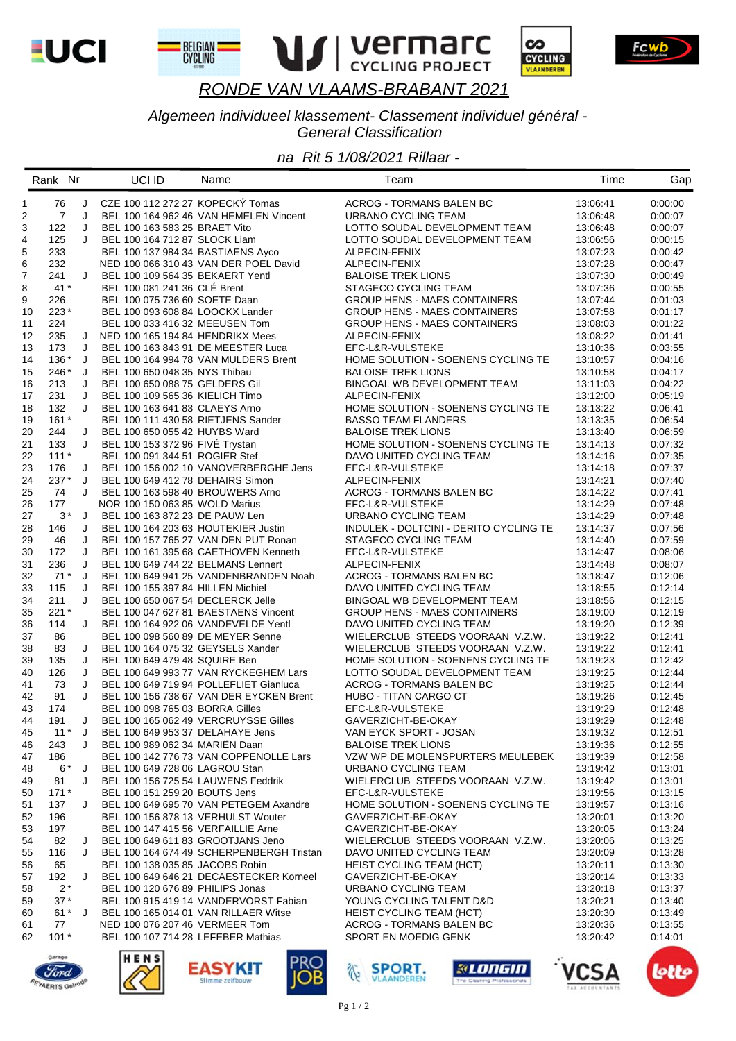



BELGIAN<br>CYCLING



Fcwb



#### Algemeen individueel klassement- Classement individuel général -**General Classification**

|              | Rank Nr        |   | UCI ID                              | Name                                     | Team                                   | Time     | Gap     |
|--------------|----------------|---|-------------------------------------|------------------------------------------|----------------------------------------|----------|---------|
| $\mathbf{1}$ | 76             | J | CZE 100 112 272 27 KOPECKÝ Tomas    |                                          | <b>ACROG - TORMANS BALEN BC</b>        | 13:06:41 | 0:00:00 |
| 2            | $\overline{7}$ | J |                                     | BEL 100 164 962 46 VAN HEMELEN Vincent   | URBANO CYCLING TEAM                    | 13:06:48 | 0:00:07 |
| 3            | 122            | J | BEL 100 163 583 25 BRAET Vito       |                                          | LOTTO SOUDAL DEVELOPMENT TEAM          | 13:06:48 | 0.00.07 |
| 4            | 125            | J | BEL 100 164 712 87 SLOCK Liam       |                                          | LOTTO SOUDAL DEVELOPMENT TEAM          | 13:06:56 | 0:00:15 |
| 5            | 233            |   | BEL 100 137 984 34 BASTIAENS Ayco   |                                          | ALPECIN-FENIX                          | 13:07:23 | 0:00:42 |
| 6            | 232            |   |                                     | NED 100 066 310 43 VAN DER POEL David    | ALPECIN-FENIX                          | 13:07:28 | 0:00:47 |
| 7            | 241            | J | BEL 100 109 564 35 BEKAERT Yentl    |                                          | <b>BALOISE TREK LIONS</b>              | 13:07:30 | 0:00:49 |
|              |                |   |                                     |                                          |                                        |          |         |
| 8            | $41*$          |   | BEL 100 081 241 36 CLÉ Brent        |                                          | STAGECO CYCLING TEAM                   | 13:07:36 | 0:00:55 |
| 9            | 226            |   | BEL 100 075 736 60 SOETE Daan       |                                          | <b>GROUP HENS - MAES CONTAINERS</b>    | 13:07:44 | 0:01:03 |
| 10           | $223*$         |   | BEL 100 093 608 84 LOOCKX Lander    |                                          | <b>GROUP HENS - MAES CONTAINERS</b>    | 13:07:58 | 0:01:17 |
| 11           | 224            |   | BEL 100 033 416 32 MEEUSEN Tom      |                                          | <b>GROUP HENS - MAES CONTAINERS</b>    | 13:08:03 | 0:01:22 |
| 12           | 235            | J | NED 100 165 194 84 HENDRIKX Mees    |                                          | ALPECIN-FENIX                          | 13:08:22 | 0:01:41 |
| 13           | 173            | J | BEL 100 163 843 91 DE MEESTER Luca  |                                          | EFC-L&R-VULSTEKE                       | 13:10:36 | 0.03.55 |
| 14           | 136 *          | J |                                     | BEL 100 164 994 78 VAN MULDERS Brent     | HOME SOLUTION - SOENENS CYCLING TE     | 13:10:57 | 0:04:16 |
| 15           | 246 *          | J | BEL 100 650 048 35 NYS Thibau       |                                          | <b>BALOISE TREK LIONS</b>              | 13:10:58 | 0:04:17 |
| 16           | 213            | J | BEL 100 650 088 75 GELDERS Gil      |                                          | BINGOAL WB DEVELOPMENT TEAM            | 13:11:03 | 0:04:22 |
| 17           | 231            | J | BEL 100 109 565 36 KIELICH Timo     |                                          | ALPECIN-FENIX                          | 13:12:00 | 0.05.19 |
| 18           | 132            | J | BEL 100 163 641 83 CLAEYS Arno      |                                          | HOME SOLUTION - SOENENS CYCLING TE     | 13:13:22 | 0:06.41 |
| 19           | $161*$         |   | BEL 100 111 430 58 RIETJENS Sander  |                                          | <b>BASSO TEAM FLANDERS</b>             | 13:13:35 | 0:06:54 |
| 20           | 244            | J | BEL 100 650 055 42 HUYBS Ward       |                                          | <b>BALOISE TREK LIONS</b>              | 13:13:40 | 0:06:59 |
| 21           | 133            | J | BEL 100 153 372 96 FIVÉ Trystan     |                                          | HOME SOLUTION - SOENENS CYCLING TE     | 13:14:13 | 0:07:32 |
| 22           | $111*$         |   | BEL 100 091 344 51 ROGIER Stef      |                                          | DAVO UNITED CYCLING TEAM               | 13:14:16 | 0.07:35 |
| 23           | 176            | J |                                     | BEL 100 156 002 10 VANOVERBERGHE Jens    | EFC-L&R-VULSTEKE                       | 13:14:18 | 0:07:37 |
| 24           | 237 *          | J | BEL 100 649 412 78 DEHAIRS Simon    |                                          | ALPECIN-FENIX                          | 13:14:21 | 0:07:40 |
| 25           | 74             | J | BEL 100 163 598 40 BROUWERS Arno    |                                          | ACROG - TORMANS BALEN BC               | 13:14:22 | 0:07:41 |
| 26           | 177            |   | NOR 100 150 063 85 WOLD Marius      |                                          | EFC-L&R-VULSTEKE                       | 13:14:29 | 0:07:48 |
| 27           | $3^*$          | J | BEL 100 163 872 23 DE PAUW Len      |                                          | URBANO CYCLING TEAM                    | 13:14:29 | 0:07:48 |
| 28           | 146            | J | BEL 100 164 203 63 HOUTEKIER Justin |                                          | INDULEK - DOLTCINI - DERITO CYCLING TE | 13:14:37 | 0:07:56 |
| 29           | 46             | J |                                     | BEL 100 157 765 27 VAN DEN PUT Ronan     | STAGECO CYCLING TEAM                   | 13:14:40 | 0:07:59 |
| 30           | 172            | J |                                     | BEL 100 161 395 68 CAETHOVEN Kenneth     | EFC-L&R-VULSTEKE                       | 13:14:47 | 0:08:06 |
| 31           | 236            | J | BEL 100 649 744 22 BELMANS Lennert  |                                          | ALPECIN-FENIX                          | 13:14:48 | 0:08:07 |
| 32           | $71*$          | J |                                     | BEL 100 649 941 25 VANDENBRANDEN Noah    | ACROG - TORMANS BALEN BC               | 13:18:47 | 0.12:06 |
| 33           | 115            | J | BEL 100 155 397 84 HILLEN Michiel   |                                          | DAVO UNITED CYCLING TEAM               | 13:18:55 | 0:12:14 |
| 34           | 211            | J | BEL 100 650 067 54 DECLERCK Jelle   |                                          | BINGOAL WB DEVELOPMENT TEAM            | 13:18:56 | 0:12:15 |
| 35           | $221*$         |   |                                     | BEL 100 047 627 81 BAESTAENS Vincent     | <b>GROUP HENS - MAES CONTAINERS</b>    | 13:19:00 | 0:12:19 |
| 36           | 114            | J |                                     | BEL 100 164 922 06 VANDEVELDE Yentl      | DAVO UNITED CYCLING TEAM               | 13:19:20 | 0:12:39 |
| 37           | 86             |   | BEL 100 098 560 89 DE MEYER Senne   |                                          | WIELERCLUB STEEDS VOORAAN V.Z.W.       | 13:19:22 | 0:12:41 |
| 38           | 83             | J | BEL 100 164 075 32 GEYSELS Xander   |                                          | WIELERCLUB STEEDS VOORAAN V.Z.W.       | 13:19:22 | 0:12:41 |
| 39           | 135            | J | BEL 100 649 479 48 SQUIRE Ben       |                                          | HOME SOLUTION - SOENENS CYCLING TE     | 13:19:23 | 0:12:42 |
| 40           | 126            | J |                                     | BEL 100 649 993 77 VAN RYCKEGHEM Lars    | LOTTO SOUDAL DEVELOPMENT TEAM          | 13:19:25 | 0:12:44 |
| 41           | 73             | J |                                     | BEL 100 649 719 94 POLLEFLIET Gianluca   | ACROG - TORMANS BALEN BC               | 13:19:25 | 0.12:44 |
| 42           | 91             | J |                                     | BEL 100 156 738 67 VAN DER EYCKEN Brent  | <b>HUBO - TITAN CARGO CT</b>           | 13:19:26 | 0:12:45 |
| 43           | 174            |   | BEL 100 098 765 03 BORRA Gilles     |                                          | EFC-L&R-VULSTEKE                       | 13:19:29 | 0:12:48 |
| 44           | 191            | J |                                     | BEL 100 165 062 49 VERCRUYSSE Gilles     | GAVERZICHT-BE-OKAY                     | 13:19:29 | 0.12:48 |
| 45           | $11*$          | J | BEL 100 649 953 37 DELAHAYE Jens    |                                          | VAN EYCK SPORT - JOSAN                 | 13:19:32 | 0:12:51 |
| 46           | 243            | J | BEL 100 989 062 34 MARIËN Daan      |                                          | <b>BALOISE TREK LIONS</b>              | 13:19:36 | 0.12:55 |
| 47           | 186            |   |                                     | BEL 100 142 776 73 VAN COPPENOLLE Lars   | VZW WP DE MOLENSPURTERS MEULEBEK       | 13:19:39 | 0.12.58 |
| 48           | $6*$           | J | BEL 100 649 728 06 LAGROU Stan      |                                          | URBANO CYCLING TEAM                    | 13:19:42 | 0:13:01 |
| 49           | 81             | J | BEL 100 156 725 54 LAUWENS Feddrik  |                                          | WIELERCLUB STEEDS VOORAAN V.Z.W.       | 13:19:42 | 0:13:01 |
| 50           | $171*$         |   | BEL 100 151 259 20 BOUTS Jens       |                                          | EFC-L&R-VULSTEKE                       | 13:19:56 | 0.13:15 |
| 51           | 137            | J |                                     | BEL 100 649 695 70 VAN PETEGEM Axandre   | HOME SOLUTION - SOENENS CYCLING TE     | 13:19:57 | 0:13:16 |
| 52           | 196            |   | BEL 100 156 878 13 VERHULST Wouter  |                                          | GAVERZICHT-BE-OKAY                     | 13:20:01 | 0.13.20 |
| 53           | 197            |   | BEL 100 147 415 56 VERFAILLIE Arne  |                                          | GAVERZICHT-BE-OKAY                     | 13:20:05 | 0:13:24 |
| 54           | 82             | J | BEL 100 649 611 83 GROOTJANS Jeno   |                                          | WIELERCLUB STEEDS VOORAAN V.Z.W.       | 13:20:06 | 0.13.25 |
| 55           | 116            | J |                                     | BEL 100 164 674 49 SCHERPENBERGH Tristan | DAVO UNITED CYCLING TEAM               | 13:20:09 | 0.13:28 |
| 56           | 65             |   | BEL 100 138 035 85 JACOBS Robin     |                                          | <b>HEIST CYCLING TEAM (HCT)</b>        | 13:20:11 | 0.13.30 |
| 57           | 192            | J |                                     | BEL 100 649 646 21 DECAESTECKER Korneel  | GAVERZICHT-BE-OKAY                     | 13:20:14 | 0:13:33 |
| 58           | $2^*$          |   | BEL 100 120 676 89 PHILIPS Jonas    |                                          | URBANO CYCLING TEAM                    | 13:20:18 | 0.13.37 |
| 59           | $37*$          |   |                                     | BEL 100 915 419 14 VANDERVORST Fabian    | YOUNG CYCLING TALENT D&D               | 13:20:21 | 0.13.40 |
| 60           | $61^*$ J       |   |                                     | BEL 100 165 014 01 VAN RILLAER Witse     | <b>HEIST CYCLING TEAM (HCT)</b>        | 13:20:30 | 0:13:49 |
| 61           | 77             |   | NED 100 076 207 46 VERMEER Tom      |                                          | ACROG - TORMANS BALEN BC               | 13:20:36 | 0:13:55 |
| 62           | $101*$         |   | BEL 100 107 714 28 LEFEBER Mathias  |                                          | SPORT EN MOEDIG GENK                   | 13:20:42 | 0:14:01 |
|              |                |   | $\sqrt{2}$                          |                                          |                                        |          |         |
|              |                |   |                                     |                                          |                                        |          |         |











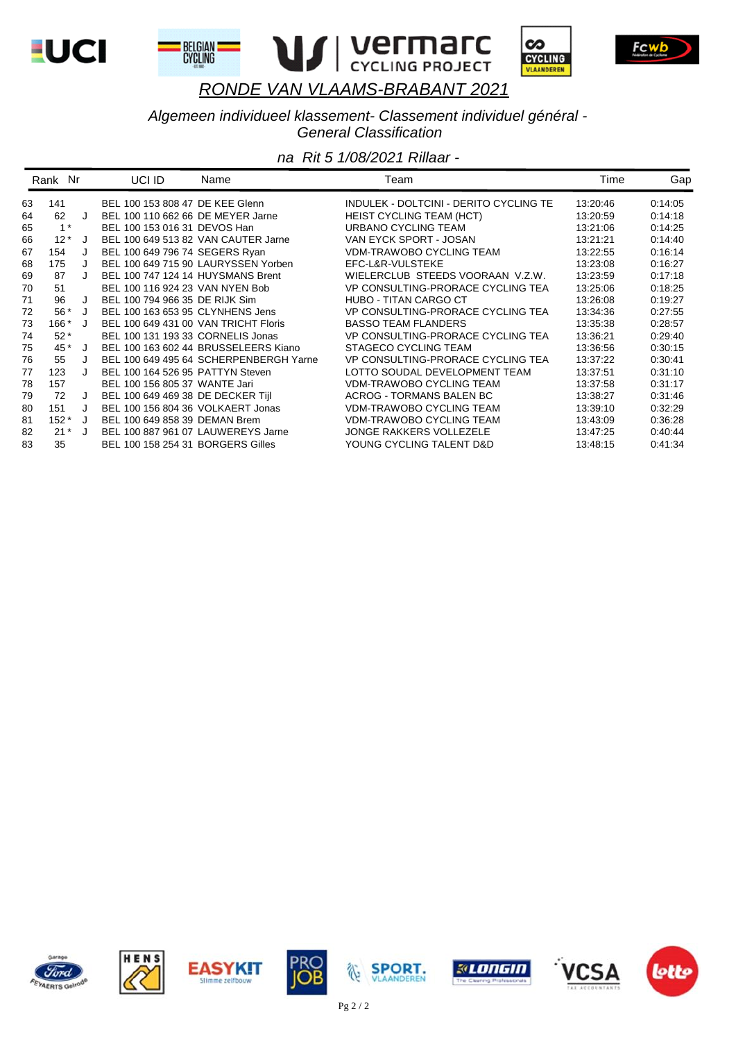

BELGIAN<br>CYCLING





Fcwb

## *RONDE VAN VLAAMS-BRABANT 2021*

*Algemeen individueel klassement- Classement individuel général - General Classification*

|    | Rank Nr |         | UCI ID<br>Name                         | Team                                   | Time     | Gap     |
|----|---------|---------|----------------------------------------|----------------------------------------|----------|---------|
| 63 | 141     |         | BEL 100 153 808 47 DE KEE Glenn        | INDULEK - DOLTCINI - DERITO CYCLING TE | 13:20:46 | 0:14:05 |
| 64 | 62      | J       | BEL 100 110 662 66 DE MEYER Jarne      | <b>HEIST CYCLING TEAM (HCT)</b>        | 13:20:59 | 0:14:18 |
| 65 | $1^*$   |         | BEL 100 153 016 31 DEVOS Han           | URBANO CYCLING TEAM                    | 13:21:06 | 0:14:25 |
| 66 | $12*$   | J       | BEL 100 649 513 82 VAN CAUTER Jarne    | VAN EYCK SPORT - JOSAN                 | 13:21:21 | 0:14:40 |
| 67 | 154     | J       | BEL 100 649 796 74 SEGERS Ryan         | <b>VDM-TRAWOBO CYCLING TEAM</b>        | 13:22:55 | 0:16:14 |
| 68 | 175     |         | BEL 100 649 715 90 LAURYSSEN Yorben    | EFC-L&R-VULSTEKE                       | 13:23:08 | 0:16:27 |
| 69 | 87      |         | BEL 100 747 124 14 HUYSMANS Brent      | WIELERCLUB STEEDS VOORAAN V.Z.W.       | 13:23:59 | 0.17:18 |
| 70 | 51      |         | BEL 100 116 924 23 VAN NYEN Bob        | VP CONSULTING-PRORACE CYCLING TEA      | 13:25:06 | 0:18:25 |
| 71 | 96      | J       | BEL 100 794 966 35 DE RIJK Sim         | HUBO - TITAN CARGO CT                  | 13:26:08 | 0:19:27 |
| 72 | 56 *    | J       | BEL 100 163 653 95 CLYNHENS Jens       | VP CONSULTING-PRORACE CYCLING TEA      | 13:34:36 | 0.27:55 |
| 73 | $166*$  | J       | BEL 100 649 431 00 VAN TRICHT Floris   | <b>BASSO TEAM FLANDERS</b>             | 13:35:38 | 0:28:57 |
| 74 | $52*$   |         | BEL 100 131 193 33 CORNELIS Jonas      | VP CONSULTING-PRORACE CYCLING TEA      | 13:36:21 | 0.29:40 |
| 75 | 45 *    | $\cdot$ | BEL 100 163 602 44 BRUSSELEERS Kiano   | STAGECO CYCLING TEAM                   | 13:36:56 | 0:30:15 |
| 76 | 55      | J       | BEL 100 649 495 64 SCHERPENBERGH Yarne | VP CONSULTING-PRORACE CYCLING TEA      | 13:37:22 | 0:30:41 |
| 77 | 123     |         | BEL 100 164 526 95 PATTYN Steven       | LOTTO SOUDAL DEVELOPMENT TEAM          | 13:37:51 | 0.31:10 |
| 78 | 157     |         | BEL 100 156 805 37 WANTE Jari          | VDM-TRAWOBO CYCLING TEAM               | 13:37:58 | 0:31:17 |
| 79 | 72      | J       | BEL 100 649 469 38 DE DECKER Tijl      | ACROG - TORMANS BALEN BC               | 13:38:27 | 0:31:46 |
| 80 | 151     | J       | BEL 100 156 804 36 VOLKAERT Jonas      | <b>VDM-TRAWOBO CYCLING TEAM</b>        | 13:39:10 | 0.32.29 |
| 81 | $152*$  | J       | BEL 100 649 858 39 DEMAN Brem          | <b>VDM-TRAWOBO CYCLING TEAM</b>        | 13:43:09 | 0:36:28 |
| 82 | $21^*$  | J       | BEL 100 887 961 07 LAUWEREYS Jarne     | <b>JONGE RAKKERS VOLLEZELE</b>         | 13:47:25 | 0.40:44 |
| 83 | 35      |         | BEL 100 158 254 31 BORGERS Gilles      | YOUNG CYCLING TALENT D&D               | 13:48:15 | 0:41:34 |















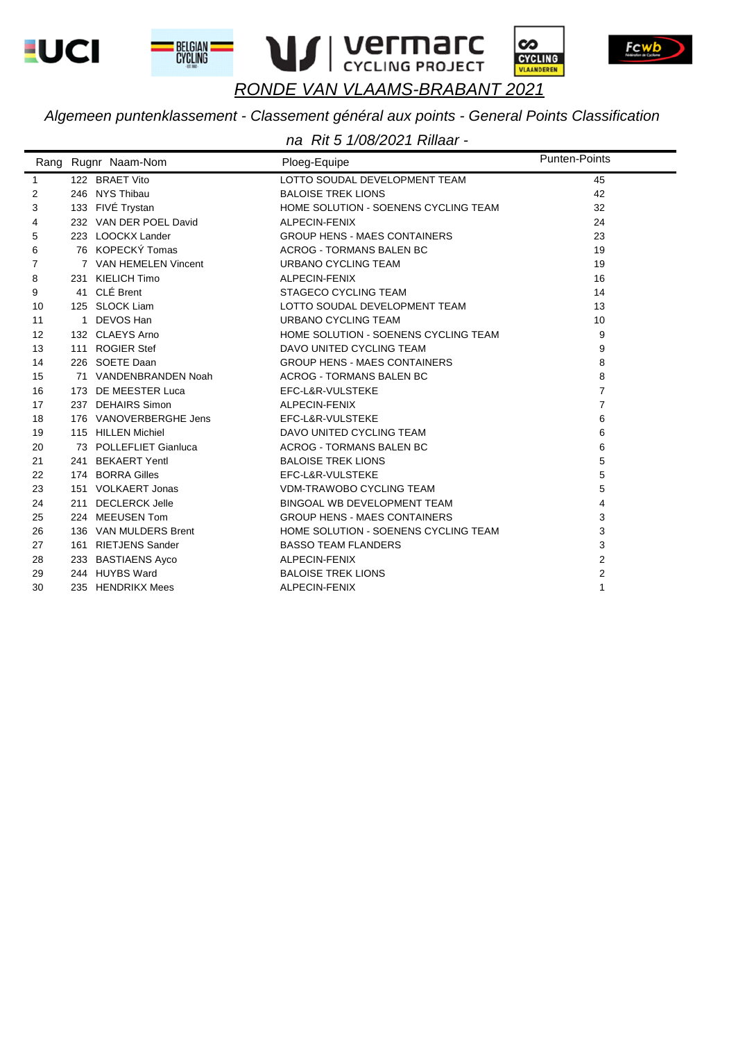







Fcwb

### RONDE VAN VLAAMS-BRABANT 2021

#### Algemeen puntenklassement - Classement général aux points - General Points Classification

|                   | Rang Rugnr Naam-Nom    | Ploeg-Equipe                         | <b>Punten-Points</b> |
|-------------------|------------------------|--------------------------------------|----------------------|
| $\mathbf{1}$      | 122 BRAET Vito         | LOTTO SOUDAL DEVELOPMENT TEAM        | 45                   |
| 2                 | 246 NYS Thibau         | <b>BALOISE TREK LIONS</b>            | 42                   |
| 3                 | 133 FIVÉ Trystan       | HOME SOLUTION - SOENENS CYCLING TEAM | 32                   |
| 4                 | 232 VAN DER POEL David | ALPECIN-FENIX                        | 24                   |
| 5                 | 223 LOOCKX Lander      | <b>GROUP HENS - MAES CONTAINERS</b>  | 23                   |
| 6                 | 76 KOPECKÝ Tomas       | <b>ACROG - TORMANS BALEN BC</b>      | 19                   |
| 7                 | 7 VAN HEMELEN Vincent  | <b>URBANO CYCLING TEAM</b>           | 19                   |
| 8                 | 231 KIELICH Timo       | ALPECIN-FENIX                        | 16                   |
| 9                 | 41 CLÉ Brent           | STAGECO CYCLING TEAM                 | 14                   |
| 10                | 125 SLOCK Liam         | LOTTO SOUDAL DEVELOPMENT TEAM        | 13                   |
| 11                | 1 DEVOS Han            | URBANO CYCLING TEAM                  | 10                   |
| $12 \overline{ }$ | 132 CLAEYS Arno        | HOME SOLUTION - SOENENS CYCLING TEAM | 9                    |
| 13                | 111 ROGIER Stef        | DAVO UNITED CYCLING TEAM             | 9                    |
| 14                | 226 SOETE Daan         | <b>GROUP HENS - MAES CONTAINERS</b>  | 8                    |
| 15                | 71 VANDENBRANDEN Noah  | <b>ACROG - TORMANS BALEN BC</b>      | 8                    |
| 16                | 173 DE MEESTER Luca    | EFC-L&R-VULSTEKE                     | $\overline{7}$       |
| 17                | 237 DEHAIRS Simon      | ALPECIN-FENIX                        | $\overline{7}$       |
| 18                | 176 VANOVERBERGHE Jens | EFC-L&R-VULSTEKE                     | 6                    |
| 19                | 115 HILLEN Michiel     | DAVO UNITED CYCLING TEAM             | 6                    |
| 20                | 73 POLLEFLIET Gianluca | <b>ACROG - TORMANS BALEN BC</b>      | 6                    |
| 21                | 241 BEKAERT Yentl      | <b>BALOISE TREK LIONS</b>            | 5                    |
| 22                | 174 BORRA Gilles       | EFC-L&R-VULSTEKE                     | 5                    |
| 23                | 151 VOLKAERT Jonas     | <b>VDM-TRAWOBO CYCLING TEAM</b>      | 5                    |
| 24                | 211 DECLERCK Jelle     | BINGOAL WB DEVELOPMENT TEAM          | 4                    |
| 25                | 224 MEEUSEN Tom        | <b>GROUP HENS - MAES CONTAINERS</b>  | 3                    |
| 26                | 136 VAN MULDERS Brent  | HOME SOLUTION - SOENENS CYCLING TEAM | 3                    |
| 27                | 161 RIETJENS Sander    | <b>BASSO TEAM FLANDERS</b>           | 3                    |
| 28                | 233 BASTIAENS Ayco     | ALPECIN-FENIX                        | 2                    |
| 29                | 244 HUYBS Ward         | <b>BALOISE TREK LIONS</b>            | 2                    |
| 30                | 235 HENDRIKX Mees      | ALPECIN-FENIX                        | 1                    |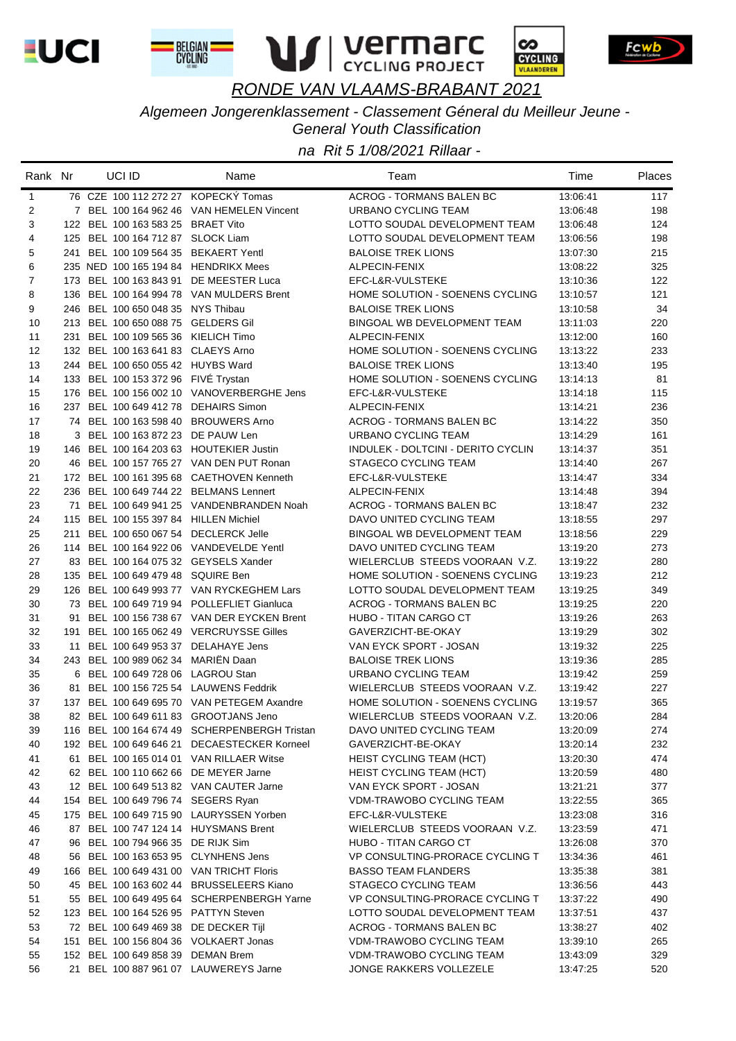









*Algemeen Jongerenklassement - Classement Géneral du Meilleur Jeune -* 

*General Youth Classification*

| 76 CZE 100 112 272 27 KOPECKÝ Tomas<br>$\mathbf{1}$<br><b>ACROG - TORMANS BALEN BC</b><br>13:06:41<br>117<br>7 BEL 100 164 962 46 VAN HEMELEN Vincent<br>URBANO CYCLING TEAM<br>2<br>13:06:48<br>198<br>3<br>124<br>122 BEL 100 163 583 25 BRAET Vito<br>LOTTO SOUDAL DEVELOPMENT TEAM<br>13:06:48<br>4<br>125 BEL 100 164 712 87 SLOCK Liam<br>LOTTO SOUDAL DEVELOPMENT TEAM<br>198<br>13:06:56<br>5<br>241 BEL 100 109 564 35 BEKAERT Yentl<br><b>BALOISE TREK LIONS</b><br>13:07:30<br>215<br>6<br>235 NED 100 165 194 84 HENDRIKX Mees<br>ALPECIN-FENIX<br>13:08:22<br>325<br>7<br>173 BEL 100 163 843 91 DE MEESTER Luca<br>EFC-L&R-VULSTEKE<br>13:10:36<br>122<br>8<br>136 BEL 100 164 994 78 VAN MULDERS Brent<br>HOME SOLUTION - SOENENS CYCLING<br>121<br>13:10:57<br>34<br>9<br>246 BEL 100 650 048 35 NYS Thibau<br><b>BALOISE TREK LIONS</b><br>13:10:58<br>213 BEL 100 650 088 75 GELDERS Gil<br>10<br>BINGOAL WB DEVELOPMENT TEAM<br>220<br>13:11:03<br>11<br>231 BEL 100 109 565 36 KIELICH Timo<br>ALPECIN-FENIX<br>160<br>13:12:00<br>12<br>132 BEL 100 163 641 83 CLAEYS Arno<br>HOME SOLUTION - SOENENS CYCLING<br>233<br>13:13:22<br>13<br>244 BEL 100 650 055 42 HUYBS Ward<br><b>BALOISE TREK LIONS</b><br>13:13:40<br>195<br>14<br>133 BEL 100 153 372 96 FIVE Trystan<br>HOME SOLUTION - SOENENS CYCLING<br>81<br>13:14:13<br>15<br>176 BEL 100 156 002 10 VANOVERBERGHE Jens<br>EFC-L&R-VULSTEKE<br>115<br>13:14:18<br>16<br>237 BEL 100 649 412 78 DEHAIRS Simon<br>ALPECIN-FENIX<br>236<br>13:14:21<br>17<br>74 BEL 100 163 598 40 BROUWERS Arno<br><b>ACROG - TORMANS BALEN BC</b><br>350<br>13:14:22<br>18<br>3 BEL 100 163 872 23 DE PAUW Len<br>URBANO CYCLING TEAM<br>161<br>13:14:29<br>19<br>146 BEL 100 164 203 63 HOUTEKIER Justin<br>INDULEK - DOLTCINI - DERITO CYCLIN<br>351<br>13:14:37<br>20<br>46 BEL 100 157 765 27 VAN DEN PUT Ronan<br>STAGECO CYCLING TEAM<br>267<br>13:14:40<br>21<br>172 BEL 100 161 395 68 CAETHOVEN Kenneth<br>334<br>EFC-L&R-VULSTEKE<br>13:14:47<br>22<br>236 BEL 100 649 744 22 BELMANS Lennert<br>ALPECIN-FENIX<br>394<br>13:14:48<br>23<br>71 BEL 100 649 941 25 VANDENBRANDEN Noah<br><b>ACROG - TORMANS BALEN BC</b><br>13:18:47<br>232<br>24<br>115 BEL 100 155 397 84 HILLEN Michiel<br>DAVO UNITED CYCLING TEAM<br>297<br>13:18:55<br>25<br>211 BEL 100 650 067 54 DECLERCK Jelle<br>BINGOAL WB DEVELOPMENT TEAM<br>229<br>13:18:56<br>26<br>114 BEL 100 164 922 06 VANDEVELDE Yentl<br>DAVO UNITED CYCLING TEAM<br>273<br>13:19:20<br>27<br>83 BEL 100 164 075 32 GEYSELS Xander<br>WIELERCLUB STEEDS VOORAAN V.Z.<br>280<br>13:19:22<br>28<br>135 BEL 100 649 479 48 SQUIRE Ben<br>HOME SOLUTION - SOENENS CYCLING<br>212<br>13:19:23<br>29<br>126 BEL 100 649 993 77 VAN RYCKEGHEM Lars<br>LOTTO SOUDAL DEVELOPMENT TEAM<br>349<br>13:19:25<br>30<br>73 BEL 100 649 719 94 POLLEFLIET Gianluca<br>ACROG - TORMANS BALEN BC<br>220<br>13:19:25<br>31<br>BEL 100 156 738 67 VAN DER EYCKEN Brent<br><b>HUBO - TITAN CARGO CT</b><br>263<br>13:19:26<br>91<br>32<br>BEL 100 165 062 49 VERCRUYSSE Gilles<br>GAVERZICHT-BE-OKAY<br>13:19:29<br>302<br>191<br>33<br>11 BEL 100 649 953 37 DELAHAYE Jens<br>VAN EYCK SPORT - JOSAN<br>13:19:32<br>225<br>34<br>243 BEL 100 989 062 34 MARIËN Daan<br><b>BALOISE TREK LIONS</b><br>285<br>13:19:36<br>35<br>6 BEL 100 649 728 06 LAGROU Stan<br>URBANO CYCLING TEAM<br>259<br>13:19:42<br>36<br>81 BEL 100 156 725 54 LAUWENS Feddrik<br>WIELERCLUB STEEDS VOORAAN V.Z.<br>227<br>13:19:42<br>37<br>137 BEL 100 649 695 70 VAN PETEGEM Axandre<br>HOME SOLUTION - SOENENS CYCLING<br>365<br>13:19:57<br>WIELERCLUB STEEDS VOORAAN V.Z.<br>38<br>82 BEL 100 649 611 83 GROOTJANS Jeno<br>284<br>13:20:06<br>116 BEL 100 164 674 49 SCHERPENBERGH Tristan<br>DAVO UNITED CYCLING TEAM<br>13:20:09<br>39<br>274<br>40<br>192 BEL 100 649 646 21 DECAESTECKER Korneel<br>GAVERZICHT-BE-OKAY<br>13:20:14<br>232<br>BEL 100 165 014 01 VAN RILLAER Witse<br><b>HEIST CYCLING TEAM (HCT)</b><br>41<br>13:20:30<br>474<br>61.<br>62 BEL 100 110 662 66 DE MEYER Jarne<br><b>HEIST CYCLING TEAM (HCT)</b><br>42<br>13:20:59<br>480<br>12 BEL 100 649 513 82 VAN CAUTER Jarne<br>VAN EYCK SPORT - JOSAN<br>43<br>13:21:21<br>377<br>154 BEL 100 649 796 74 SEGERS Ryan<br>VDM-TRAWOBO CYCLING TEAM<br>365<br>44<br>13:22:55<br>175 BEL 100 649 715 90 LAURYSSEN Yorben<br>45<br>EFC-L&R-VULSTEKE<br>13:23:08<br>316<br>46<br>87 BEL 100 747 124 14 HUYSMANS Brent<br>WIELERCLUB STEEDS VOORAAN V.Z.<br>13:23:59<br>471<br>47<br>96 BEL 100 794 966 35 DE RIJK Sim<br>HUBO - TITAN CARGO CT<br>370<br>13:26:08<br>56 BEL 100 163 653 95 CLYNHENS Jens<br>48<br>VP CONSULTING-PRORACE CYCLING T<br>13:34:36<br>461<br>49<br>166 BEL 100 649 431 00 VAN TRICHT Floris<br><b>BASSO TEAM FLANDERS</b><br>13:35:38<br>381<br>45 BEL 100 163 602 44 BRUSSELEERS Kiano<br>STAGECO CYCLING TEAM<br>443<br>50<br>13:36:56<br>55 BEL 100 649 495 64 SCHERPENBERGH Yarne<br>VP CONSULTING-PRORACE CYCLING T<br>51<br>13:37:22<br>490<br>123 BEL 100 164 526 95 PATTYN Steven<br>52<br>LOTTO SOUDAL DEVELOPMENT TEAM<br>13:37:51<br>437<br>53<br>72 BEL 100 649 469 38 DE DECKER Tijl<br>ACROG - TORMANS BALEN BC<br>13:38:27<br>402<br>151 BEL 100 156 804 36 VOLKAERT Jonas<br>VDM-TRAWOBO CYCLING TEAM<br>54<br>265<br>13:39:10<br>152 BEL 100 649 858 39 DEMAN Brem<br>55<br>VDM-TRAWOBO CYCLING TEAM<br>329<br>13:43:09<br>21 BEL 100 887 961 07 LAUWEREYS Jarne<br>56<br>JONGE RAKKERS VOLLEZELE<br>13:47:25<br>520 | Rank Nr | UCI ID | Name | Team | Time | Places |
|----------------------------------------------------------------------------------------------------------------------------------------------------------------------------------------------------------------------------------------------------------------------------------------------------------------------------------------------------------------------------------------------------------------------------------------------------------------------------------------------------------------------------------------------------------------------------------------------------------------------------------------------------------------------------------------------------------------------------------------------------------------------------------------------------------------------------------------------------------------------------------------------------------------------------------------------------------------------------------------------------------------------------------------------------------------------------------------------------------------------------------------------------------------------------------------------------------------------------------------------------------------------------------------------------------------------------------------------------------------------------------------------------------------------------------------------------------------------------------------------------------------------------------------------------------------------------------------------------------------------------------------------------------------------------------------------------------------------------------------------------------------------------------------------------------------------------------------------------------------------------------------------------------------------------------------------------------------------------------------------------------------------------------------------------------------------------------------------------------------------------------------------------------------------------------------------------------------------------------------------------------------------------------------------------------------------------------------------------------------------------------------------------------------------------------------------------------------------------------------------------------------------------------------------------------------------------------------------------------------------------------------------------------------------------------------------------------------------------------------------------------------------------------------------------------------------------------------------------------------------------------------------------------------------------------------------------------------------------------------------------------------------------------------------------------------------------------------------------------------------------------------------------------------------------------------------------------------------------------------------------------------------------------------------------------------------------------------------------------------------------------------------------------------------------------------------------------------------------------------------------------------------------------------------------------------------------------------------------------------------------------------------------------------------------------------------------------------------------------------------------------------------------------------------------------------------------------------------------------------------------------------------------------------------------------------------------------------------------------------------------------------------------------------------------------------------------------------------------------------------------------------------------------------------------------------------------------------------------------------------------------------------------------------------------------------------------------------------------------------------------------------------------------------------------------------------------------------------------------------------------------------------------------------------------------------------------------------------------------------------------------------------------------------------------------------------------------------------------------------------------------------------------------------------------------------------------------------------------------------------------------------------------------------------------------------------------------------------------------------------------------------------------------------------------------------------------------------------------------------------------------------------------------------------------------------------------------------------------------------------------------------------------------------------------------------------------------------------------------------------------------------------------------------------------------------------------------------------------------------------------------------------------|---------|--------|------|------|------|--------|
|                                                                                                                                                                                                                                                                                                                                                                                                                                                                                                                                                                                                                                                                                                                                                                                                                                                                                                                                                                                                                                                                                                                                                                                                                                                                                                                                                                                                                                                                                                                                                                                                                                                                                                                                                                                                                                                                                                                                                                                                                                                                                                                                                                                                                                                                                                                                                                                                                                                                                                                                                                                                                                                                                                                                                                                                                                                                                                                                                                                                                                                                                                                                                                                                                                                                                                                                                                                                                                                                                                                                                                                                                                                                                                                                                                                                                                                                                                                                                                                                                                                                                                                                                                                                                                                                                                                                                                                                                                                                                                                                                                                                                                                                                                                                                                                                                                                                                                                                                                                                                                                                                                                                                                                                                                                                                                                                                                                                                                                                                                                            |         |        |      |      |      |        |
|                                                                                                                                                                                                                                                                                                                                                                                                                                                                                                                                                                                                                                                                                                                                                                                                                                                                                                                                                                                                                                                                                                                                                                                                                                                                                                                                                                                                                                                                                                                                                                                                                                                                                                                                                                                                                                                                                                                                                                                                                                                                                                                                                                                                                                                                                                                                                                                                                                                                                                                                                                                                                                                                                                                                                                                                                                                                                                                                                                                                                                                                                                                                                                                                                                                                                                                                                                                                                                                                                                                                                                                                                                                                                                                                                                                                                                                                                                                                                                                                                                                                                                                                                                                                                                                                                                                                                                                                                                                                                                                                                                                                                                                                                                                                                                                                                                                                                                                                                                                                                                                                                                                                                                                                                                                                                                                                                                                                                                                                                                                            |         |        |      |      |      |        |
|                                                                                                                                                                                                                                                                                                                                                                                                                                                                                                                                                                                                                                                                                                                                                                                                                                                                                                                                                                                                                                                                                                                                                                                                                                                                                                                                                                                                                                                                                                                                                                                                                                                                                                                                                                                                                                                                                                                                                                                                                                                                                                                                                                                                                                                                                                                                                                                                                                                                                                                                                                                                                                                                                                                                                                                                                                                                                                                                                                                                                                                                                                                                                                                                                                                                                                                                                                                                                                                                                                                                                                                                                                                                                                                                                                                                                                                                                                                                                                                                                                                                                                                                                                                                                                                                                                                                                                                                                                                                                                                                                                                                                                                                                                                                                                                                                                                                                                                                                                                                                                                                                                                                                                                                                                                                                                                                                                                                                                                                                                                            |         |        |      |      |      |        |
|                                                                                                                                                                                                                                                                                                                                                                                                                                                                                                                                                                                                                                                                                                                                                                                                                                                                                                                                                                                                                                                                                                                                                                                                                                                                                                                                                                                                                                                                                                                                                                                                                                                                                                                                                                                                                                                                                                                                                                                                                                                                                                                                                                                                                                                                                                                                                                                                                                                                                                                                                                                                                                                                                                                                                                                                                                                                                                                                                                                                                                                                                                                                                                                                                                                                                                                                                                                                                                                                                                                                                                                                                                                                                                                                                                                                                                                                                                                                                                                                                                                                                                                                                                                                                                                                                                                                                                                                                                                                                                                                                                                                                                                                                                                                                                                                                                                                                                                                                                                                                                                                                                                                                                                                                                                                                                                                                                                                                                                                                                                            |         |        |      |      |      |        |
|                                                                                                                                                                                                                                                                                                                                                                                                                                                                                                                                                                                                                                                                                                                                                                                                                                                                                                                                                                                                                                                                                                                                                                                                                                                                                                                                                                                                                                                                                                                                                                                                                                                                                                                                                                                                                                                                                                                                                                                                                                                                                                                                                                                                                                                                                                                                                                                                                                                                                                                                                                                                                                                                                                                                                                                                                                                                                                                                                                                                                                                                                                                                                                                                                                                                                                                                                                                                                                                                                                                                                                                                                                                                                                                                                                                                                                                                                                                                                                                                                                                                                                                                                                                                                                                                                                                                                                                                                                                                                                                                                                                                                                                                                                                                                                                                                                                                                                                                                                                                                                                                                                                                                                                                                                                                                                                                                                                                                                                                                                                            |         |        |      |      |      |        |
|                                                                                                                                                                                                                                                                                                                                                                                                                                                                                                                                                                                                                                                                                                                                                                                                                                                                                                                                                                                                                                                                                                                                                                                                                                                                                                                                                                                                                                                                                                                                                                                                                                                                                                                                                                                                                                                                                                                                                                                                                                                                                                                                                                                                                                                                                                                                                                                                                                                                                                                                                                                                                                                                                                                                                                                                                                                                                                                                                                                                                                                                                                                                                                                                                                                                                                                                                                                                                                                                                                                                                                                                                                                                                                                                                                                                                                                                                                                                                                                                                                                                                                                                                                                                                                                                                                                                                                                                                                                                                                                                                                                                                                                                                                                                                                                                                                                                                                                                                                                                                                                                                                                                                                                                                                                                                                                                                                                                                                                                                                                            |         |        |      |      |      |        |
|                                                                                                                                                                                                                                                                                                                                                                                                                                                                                                                                                                                                                                                                                                                                                                                                                                                                                                                                                                                                                                                                                                                                                                                                                                                                                                                                                                                                                                                                                                                                                                                                                                                                                                                                                                                                                                                                                                                                                                                                                                                                                                                                                                                                                                                                                                                                                                                                                                                                                                                                                                                                                                                                                                                                                                                                                                                                                                                                                                                                                                                                                                                                                                                                                                                                                                                                                                                                                                                                                                                                                                                                                                                                                                                                                                                                                                                                                                                                                                                                                                                                                                                                                                                                                                                                                                                                                                                                                                                                                                                                                                                                                                                                                                                                                                                                                                                                                                                                                                                                                                                                                                                                                                                                                                                                                                                                                                                                                                                                                                                            |         |        |      |      |      |        |
|                                                                                                                                                                                                                                                                                                                                                                                                                                                                                                                                                                                                                                                                                                                                                                                                                                                                                                                                                                                                                                                                                                                                                                                                                                                                                                                                                                                                                                                                                                                                                                                                                                                                                                                                                                                                                                                                                                                                                                                                                                                                                                                                                                                                                                                                                                                                                                                                                                                                                                                                                                                                                                                                                                                                                                                                                                                                                                                                                                                                                                                                                                                                                                                                                                                                                                                                                                                                                                                                                                                                                                                                                                                                                                                                                                                                                                                                                                                                                                                                                                                                                                                                                                                                                                                                                                                                                                                                                                                                                                                                                                                                                                                                                                                                                                                                                                                                                                                                                                                                                                                                                                                                                                                                                                                                                                                                                                                                                                                                                                                            |         |        |      |      |      |        |
|                                                                                                                                                                                                                                                                                                                                                                                                                                                                                                                                                                                                                                                                                                                                                                                                                                                                                                                                                                                                                                                                                                                                                                                                                                                                                                                                                                                                                                                                                                                                                                                                                                                                                                                                                                                                                                                                                                                                                                                                                                                                                                                                                                                                                                                                                                                                                                                                                                                                                                                                                                                                                                                                                                                                                                                                                                                                                                                                                                                                                                                                                                                                                                                                                                                                                                                                                                                                                                                                                                                                                                                                                                                                                                                                                                                                                                                                                                                                                                                                                                                                                                                                                                                                                                                                                                                                                                                                                                                                                                                                                                                                                                                                                                                                                                                                                                                                                                                                                                                                                                                                                                                                                                                                                                                                                                                                                                                                                                                                                                                            |         |        |      |      |      |        |
|                                                                                                                                                                                                                                                                                                                                                                                                                                                                                                                                                                                                                                                                                                                                                                                                                                                                                                                                                                                                                                                                                                                                                                                                                                                                                                                                                                                                                                                                                                                                                                                                                                                                                                                                                                                                                                                                                                                                                                                                                                                                                                                                                                                                                                                                                                                                                                                                                                                                                                                                                                                                                                                                                                                                                                                                                                                                                                                                                                                                                                                                                                                                                                                                                                                                                                                                                                                                                                                                                                                                                                                                                                                                                                                                                                                                                                                                                                                                                                                                                                                                                                                                                                                                                                                                                                                                                                                                                                                                                                                                                                                                                                                                                                                                                                                                                                                                                                                                                                                                                                                                                                                                                                                                                                                                                                                                                                                                                                                                                                                            |         |        |      |      |      |        |
|                                                                                                                                                                                                                                                                                                                                                                                                                                                                                                                                                                                                                                                                                                                                                                                                                                                                                                                                                                                                                                                                                                                                                                                                                                                                                                                                                                                                                                                                                                                                                                                                                                                                                                                                                                                                                                                                                                                                                                                                                                                                                                                                                                                                                                                                                                                                                                                                                                                                                                                                                                                                                                                                                                                                                                                                                                                                                                                                                                                                                                                                                                                                                                                                                                                                                                                                                                                                                                                                                                                                                                                                                                                                                                                                                                                                                                                                                                                                                                                                                                                                                                                                                                                                                                                                                                                                                                                                                                                                                                                                                                                                                                                                                                                                                                                                                                                                                                                                                                                                                                                                                                                                                                                                                                                                                                                                                                                                                                                                                                                            |         |        |      |      |      |        |
|                                                                                                                                                                                                                                                                                                                                                                                                                                                                                                                                                                                                                                                                                                                                                                                                                                                                                                                                                                                                                                                                                                                                                                                                                                                                                                                                                                                                                                                                                                                                                                                                                                                                                                                                                                                                                                                                                                                                                                                                                                                                                                                                                                                                                                                                                                                                                                                                                                                                                                                                                                                                                                                                                                                                                                                                                                                                                                                                                                                                                                                                                                                                                                                                                                                                                                                                                                                                                                                                                                                                                                                                                                                                                                                                                                                                                                                                                                                                                                                                                                                                                                                                                                                                                                                                                                                                                                                                                                                                                                                                                                                                                                                                                                                                                                                                                                                                                                                                                                                                                                                                                                                                                                                                                                                                                                                                                                                                                                                                                                                            |         |        |      |      |      |        |
|                                                                                                                                                                                                                                                                                                                                                                                                                                                                                                                                                                                                                                                                                                                                                                                                                                                                                                                                                                                                                                                                                                                                                                                                                                                                                                                                                                                                                                                                                                                                                                                                                                                                                                                                                                                                                                                                                                                                                                                                                                                                                                                                                                                                                                                                                                                                                                                                                                                                                                                                                                                                                                                                                                                                                                                                                                                                                                                                                                                                                                                                                                                                                                                                                                                                                                                                                                                                                                                                                                                                                                                                                                                                                                                                                                                                                                                                                                                                                                                                                                                                                                                                                                                                                                                                                                                                                                                                                                                                                                                                                                                                                                                                                                                                                                                                                                                                                                                                                                                                                                                                                                                                                                                                                                                                                                                                                                                                                                                                                                                            |         |        |      |      |      |        |
|                                                                                                                                                                                                                                                                                                                                                                                                                                                                                                                                                                                                                                                                                                                                                                                                                                                                                                                                                                                                                                                                                                                                                                                                                                                                                                                                                                                                                                                                                                                                                                                                                                                                                                                                                                                                                                                                                                                                                                                                                                                                                                                                                                                                                                                                                                                                                                                                                                                                                                                                                                                                                                                                                                                                                                                                                                                                                                                                                                                                                                                                                                                                                                                                                                                                                                                                                                                                                                                                                                                                                                                                                                                                                                                                                                                                                                                                                                                                                                                                                                                                                                                                                                                                                                                                                                                                                                                                                                                                                                                                                                                                                                                                                                                                                                                                                                                                                                                                                                                                                                                                                                                                                                                                                                                                                                                                                                                                                                                                                                                            |         |        |      |      |      |        |
|                                                                                                                                                                                                                                                                                                                                                                                                                                                                                                                                                                                                                                                                                                                                                                                                                                                                                                                                                                                                                                                                                                                                                                                                                                                                                                                                                                                                                                                                                                                                                                                                                                                                                                                                                                                                                                                                                                                                                                                                                                                                                                                                                                                                                                                                                                                                                                                                                                                                                                                                                                                                                                                                                                                                                                                                                                                                                                                                                                                                                                                                                                                                                                                                                                                                                                                                                                                                                                                                                                                                                                                                                                                                                                                                                                                                                                                                                                                                                                                                                                                                                                                                                                                                                                                                                                                                                                                                                                                                                                                                                                                                                                                                                                                                                                                                                                                                                                                                                                                                                                                                                                                                                                                                                                                                                                                                                                                                                                                                                                                            |         |        |      |      |      |        |
|                                                                                                                                                                                                                                                                                                                                                                                                                                                                                                                                                                                                                                                                                                                                                                                                                                                                                                                                                                                                                                                                                                                                                                                                                                                                                                                                                                                                                                                                                                                                                                                                                                                                                                                                                                                                                                                                                                                                                                                                                                                                                                                                                                                                                                                                                                                                                                                                                                                                                                                                                                                                                                                                                                                                                                                                                                                                                                                                                                                                                                                                                                                                                                                                                                                                                                                                                                                                                                                                                                                                                                                                                                                                                                                                                                                                                                                                                                                                                                                                                                                                                                                                                                                                                                                                                                                                                                                                                                                                                                                                                                                                                                                                                                                                                                                                                                                                                                                                                                                                                                                                                                                                                                                                                                                                                                                                                                                                                                                                                                                            |         |        |      |      |      |        |
|                                                                                                                                                                                                                                                                                                                                                                                                                                                                                                                                                                                                                                                                                                                                                                                                                                                                                                                                                                                                                                                                                                                                                                                                                                                                                                                                                                                                                                                                                                                                                                                                                                                                                                                                                                                                                                                                                                                                                                                                                                                                                                                                                                                                                                                                                                                                                                                                                                                                                                                                                                                                                                                                                                                                                                                                                                                                                                                                                                                                                                                                                                                                                                                                                                                                                                                                                                                                                                                                                                                                                                                                                                                                                                                                                                                                                                                                                                                                                                                                                                                                                                                                                                                                                                                                                                                                                                                                                                                                                                                                                                                                                                                                                                                                                                                                                                                                                                                                                                                                                                                                                                                                                                                                                                                                                                                                                                                                                                                                                                                            |         |        |      |      |      |        |
|                                                                                                                                                                                                                                                                                                                                                                                                                                                                                                                                                                                                                                                                                                                                                                                                                                                                                                                                                                                                                                                                                                                                                                                                                                                                                                                                                                                                                                                                                                                                                                                                                                                                                                                                                                                                                                                                                                                                                                                                                                                                                                                                                                                                                                                                                                                                                                                                                                                                                                                                                                                                                                                                                                                                                                                                                                                                                                                                                                                                                                                                                                                                                                                                                                                                                                                                                                                                                                                                                                                                                                                                                                                                                                                                                                                                                                                                                                                                                                                                                                                                                                                                                                                                                                                                                                                                                                                                                                                                                                                                                                                                                                                                                                                                                                                                                                                                                                                                                                                                                                                                                                                                                                                                                                                                                                                                                                                                                                                                                                                            |         |        |      |      |      |        |
|                                                                                                                                                                                                                                                                                                                                                                                                                                                                                                                                                                                                                                                                                                                                                                                                                                                                                                                                                                                                                                                                                                                                                                                                                                                                                                                                                                                                                                                                                                                                                                                                                                                                                                                                                                                                                                                                                                                                                                                                                                                                                                                                                                                                                                                                                                                                                                                                                                                                                                                                                                                                                                                                                                                                                                                                                                                                                                                                                                                                                                                                                                                                                                                                                                                                                                                                                                                                                                                                                                                                                                                                                                                                                                                                                                                                                                                                                                                                                                                                                                                                                                                                                                                                                                                                                                                                                                                                                                                                                                                                                                                                                                                                                                                                                                                                                                                                                                                                                                                                                                                                                                                                                                                                                                                                                                                                                                                                                                                                                                                            |         |        |      |      |      |        |
|                                                                                                                                                                                                                                                                                                                                                                                                                                                                                                                                                                                                                                                                                                                                                                                                                                                                                                                                                                                                                                                                                                                                                                                                                                                                                                                                                                                                                                                                                                                                                                                                                                                                                                                                                                                                                                                                                                                                                                                                                                                                                                                                                                                                                                                                                                                                                                                                                                                                                                                                                                                                                                                                                                                                                                                                                                                                                                                                                                                                                                                                                                                                                                                                                                                                                                                                                                                                                                                                                                                                                                                                                                                                                                                                                                                                                                                                                                                                                                                                                                                                                                                                                                                                                                                                                                                                                                                                                                                                                                                                                                                                                                                                                                                                                                                                                                                                                                                                                                                                                                                                                                                                                                                                                                                                                                                                                                                                                                                                                                                            |         |        |      |      |      |        |
|                                                                                                                                                                                                                                                                                                                                                                                                                                                                                                                                                                                                                                                                                                                                                                                                                                                                                                                                                                                                                                                                                                                                                                                                                                                                                                                                                                                                                                                                                                                                                                                                                                                                                                                                                                                                                                                                                                                                                                                                                                                                                                                                                                                                                                                                                                                                                                                                                                                                                                                                                                                                                                                                                                                                                                                                                                                                                                                                                                                                                                                                                                                                                                                                                                                                                                                                                                                                                                                                                                                                                                                                                                                                                                                                                                                                                                                                                                                                                                                                                                                                                                                                                                                                                                                                                                                                                                                                                                                                                                                                                                                                                                                                                                                                                                                                                                                                                                                                                                                                                                                                                                                                                                                                                                                                                                                                                                                                                                                                                                                            |         |        |      |      |      |        |
|                                                                                                                                                                                                                                                                                                                                                                                                                                                                                                                                                                                                                                                                                                                                                                                                                                                                                                                                                                                                                                                                                                                                                                                                                                                                                                                                                                                                                                                                                                                                                                                                                                                                                                                                                                                                                                                                                                                                                                                                                                                                                                                                                                                                                                                                                                                                                                                                                                                                                                                                                                                                                                                                                                                                                                                                                                                                                                                                                                                                                                                                                                                                                                                                                                                                                                                                                                                                                                                                                                                                                                                                                                                                                                                                                                                                                                                                                                                                                                                                                                                                                                                                                                                                                                                                                                                                                                                                                                                                                                                                                                                                                                                                                                                                                                                                                                                                                                                                                                                                                                                                                                                                                                                                                                                                                                                                                                                                                                                                                                                            |         |        |      |      |      |        |
|                                                                                                                                                                                                                                                                                                                                                                                                                                                                                                                                                                                                                                                                                                                                                                                                                                                                                                                                                                                                                                                                                                                                                                                                                                                                                                                                                                                                                                                                                                                                                                                                                                                                                                                                                                                                                                                                                                                                                                                                                                                                                                                                                                                                                                                                                                                                                                                                                                                                                                                                                                                                                                                                                                                                                                                                                                                                                                                                                                                                                                                                                                                                                                                                                                                                                                                                                                                                                                                                                                                                                                                                                                                                                                                                                                                                                                                                                                                                                                                                                                                                                                                                                                                                                                                                                                                                                                                                                                                                                                                                                                                                                                                                                                                                                                                                                                                                                                                                                                                                                                                                                                                                                                                                                                                                                                                                                                                                                                                                                                                            |         |        |      |      |      |        |
|                                                                                                                                                                                                                                                                                                                                                                                                                                                                                                                                                                                                                                                                                                                                                                                                                                                                                                                                                                                                                                                                                                                                                                                                                                                                                                                                                                                                                                                                                                                                                                                                                                                                                                                                                                                                                                                                                                                                                                                                                                                                                                                                                                                                                                                                                                                                                                                                                                                                                                                                                                                                                                                                                                                                                                                                                                                                                                                                                                                                                                                                                                                                                                                                                                                                                                                                                                                                                                                                                                                                                                                                                                                                                                                                                                                                                                                                                                                                                                                                                                                                                                                                                                                                                                                                                                                                                                                                                                                                                                                                                                                                                                                                                                                                                                                                                                                                                                                                                                                                                                                                                                                                                                                                                                                                                                                                                                                                                                                                                                                            |         |        |      |      |      |        |
|                                                                                                                                                                                                                                                                                                                                                                                                                                                                                                                                                                                                                                                                                                                                                                                                                                                                                                                                                                                                                                                                                                                                                                                                                                                                                                                                                                                                                                                                                                                                                                                                                                                                                                                                                                                                                                                                                                                                                                                                                                                                                                                                                                                                                                                                                                                                                                                                                                                                                                                                                                                                                                                                                                                                                                                                                                                                                                                                                                                                                                                                                                                                                                                                                                                                                                                                                                                                                                                                                                                                                                                                                                                                                                                                                                                                                                                                                                                                                                                                                                                                                                                                                                                                                                                                                                                                                                                                                                                                                                                                                                                                                                                                                                                                                                                                                                                                                                                                                                                                                                                                                                                                                                                                                                                                                                                                                                                                                                                                                                                            |         |        |      |      |      |        |
|                                                                                                                                                                                                                                                                                                                                                                                                                                                                                                                                                                                                                                                                                                                                                                                                                                                                                                                                                                                                                                                                                                                                                                                                                                                                                                                                                                                                                                                                                                                                                                                                                                                                                                                                                                                                                                                                                                                                                                                                                                                                                                                                                                                                                                                                                                                                                                                                                                                                                                                                                                                                                                                                                                                                                                                                                                                                                                                                                                                                                                                                                                                                                                                                                                                                                                                                                                                                                                                                                                                                                                                                                                                                                                                                                                                                                                                                                                                                                                                                                                                                                                                                                                                                                                                                                                                                                                                                                                                                                                                                                                                                                                                                                                                                                                                                                                                                                                                                                                                                                                                                                                                                                                                                                                                                                                                                                                                                                                                                                                                            |         |        |      |      |      |        |
|                                                                                                                                                                                                                                                                                                                                                                                                                                                                                                                                                                                                                                                                                                                                                                                                                                                                                                                                                                                                                                                                                                                                                                                                                                                                                                                                                                                                                                                                                                                                                                                                                                                                                                                                                                                                                                                                                                                                                                                                                                                                                                                                                                                                                                                                                                                                                                                                                                                                                                                                                                                                                                                                                                                                                                                                                                                                                                                                                                                                                                                                                                                                                                                                                                                                                                                                                                                                                                                                                                                                                                                                                                                                                                                                                                                                                                                                                                                                                                                                                                                                                                                                                                                                                                                                                                                                                                                                                                                                                                                                                                                                                                                                                                                                                                                                                                                                                                                                                                                                                                                                                                                                                                                                                                                                                                                                                                                                                                                                                                                            |         |        |      |      |      |        |
|                                                                                                                                                                                                                                                                                                                                                                                                                                                                                                                                                                                                                                                                                                                                                                                                                                                                                                                                                                                                                                                                                                                                                                                                                                                                                                                                                                                                                                                                                                                                                                                                                                                                                                                                                                                                                                                                                                                                                                                                                                                                                                                                                                                                                                                                                                                                                                                                                                                                                                                                                                                                                                                                                                                                                                                                                                                                                                                                                                                                                                                                                                                                                                                                                                                                                                                                                                                                                                                                                                                                                                                                                                                                                                                                                                                                                                                                                                                                                                                                                                                                                                                                                                                                                                                                                                                                                                                                                                                                                                                                                                                                                                                                                                                                                                                                                                                                                                                                                                                                                                                                                                                                                                                                                                                                                                                                                                                                                                                                                                                            |         |        |      |      |      |        |
|                                                                                                                                                                                                                                                                                                                                                                                                                                                                                                                                                                                                                                                                                                                                                                                                                                                                                                                                                                                                                                                                                                                                                                                                                                                                                                                                                                                                                                                                                                                                                                                                                                                                                                                                                                                                                                                                                                                                                                                                                                                                                                                                                                                                                                                                                                                                                                                                                                                                                                                                                                                                                                                                                                                                                                                                                                                                                                                                                                                                                                                                                                                                                                                                                                                                                                                                                                                                                                                                                                                                                                                                                                                                                                                                                                                                                                                                                                                                                                                                                                                                                                                                                                                                                                                                                                                                                                                                                                                                                                                                                                                                                                                                                                                                                                                                                                                                                                                                                                                                                                                                                                                                                                                                                                                                                                                                                                                                                                                                                                                            |         |        |      |      |      |        |
|                                                                                                                                                                                                                                                                                                                                                                                                                                                                                                                                                                                                                                                                                                                                                                                                                                                                                                                                                                                                                                                                                                                                                                                                                                                                                                                                                                                                                                                                                                                                                                                                                                                                                                                                                                                                                                                                                                                                                                                                                                                                                                                                                                                                                                                                                                                                                                                                                                                                                                                                                                                                                                                                                                                                                                                                                                                                                                                                                                                                                                                                                                                                                                                                                                                                                                                                                                                                                                                                                                                                                                                                                                                                                                                                                                                                                                                                                                                                                                                                                                                                                                                                                                                                                                                                                                                                                                                                                                                                                                                                                                                                                                                                                                                                                                                                                                                                                                                                                                                                                                                                                                                                                                                                                                                                                                                                                                                                                                                                                                                            |         |        |      |      |      |        |
|                                                                                                                                                                                                                                                                                                                                                                                                                                                                                                                                                                                                                                                                                                                                                                                                                                                                                                                                                                                                                                                                                                                                                                                                                                                                                                                                                                                                                                                                                                                                                                                                                                                                                                                                                                                                                                                                                                                                                                                                                                                                                                                                                                                                                                                                                                                                                                                                                                                                                                                                                                                                                                                                                                                                                                                                                                                                                                                                                                                                                                                                                                                                                                                                                                                                                                                                                                                                                                                                                                                                                                                                                                                                                                                                                                                                                                                                                                                                                                                                                                                                                                                                                                                                                                                                                                                                                                                                                                                                                                                                                                                                                                                                                                                                                                                                                                                                                                                                                                                                                                                                                                                                                                                                                                                                                                                                                                                                                                                                                                                            |         |        |      |      |      |        |
|                                                                                                                                                                                                                                                                                                                                                                                                                                                                                                                                                                                                                                                                                                                                                                                                                                                                                                                                                                                                                                                                                                                                                                                                                                                                                                                                                                                                                                                                                                                                                                                                                                                                                                                                                                                                                                                                                                                                                                                                                                                                                                                                                                                                                                                                                                                                                                                                                                                                                                                                                                                                                                                                                                                                                                                                                                                                                                                                                                                                                                                                                                                                                                                                                                                                                                                                                                                                                                                                                                                                                                                                                                                                                                                                                                                                                                                                                                                                                                                                                                                                                                                                                                                                                                                                                                                                                                                                                                                                                                                                                                                                                                                                                                                                                                                                                                                                                                                                                                                                                                                                                                                                                                                                                                                                                                                                                                                                                                                                                                                            |         |        |      |      |      |        |
|                                                                                                                                                                                                                                                                                                                                                                                                                                                                                                                                                                                                                                                                                                                                                                                                                                                                                                                                                                                                                                                                                                                                                                                                                                                                                                                                                                                                                                                                                                                                                                                                                                                                                                                                                                                                                                                                                                                                                                                                                                                                                                                                                                                                                                                                                                                                                                                                                                                                                                                                                                                                                                                                                                                                                                                                                                                                                                                                                                                                                                                                                                                                                                                                                                                                                                                                                                                                                                                                                                                                                                                                                                                                                                                                                                                                                                                                                                                                                                                                                                                                                                                                                                                                                                                                                                                                                                                                                                                                                                                                                                                                                                                                                                                                                                                                                                                                                                                                                                                                                                                                                                                                                                                                                                                                                                                                                                                                                                                                                                                            |         |        |      |      |      |        |
|                                                                                                                                                                                                                                                                                                                                                                                                                                                                                                                                                                                                                                                                                                                                                                                                                                                                                                                                                                                                                                                                                                                                                                                                                                                                                                                                                                                                                                                                                                                                                                                                                                                                                                                                                                                                                                                                                                                                                                                                                                                                                                                                                                                                                                                                                                                                                                                                                                                                                                                                                                                                                                                                                                                                                                                                                                                                                                                                                                                                                                                                                                                                                                                                                                                                                                                                                                                                                                                                                                                                                                                                                                                                                                                                                                                                                                                                                                                                                                                                                                                                                                                                                                                                                                                                                                                                                                                                                                                                                                                                                                                                                                                                                                                                                                                                                                                                                                                                                                                                                                                                                                                                                                                                                                                                                                                                                                                                                                                                                                                            |         |        |      |      |      |        |
|                                                                                                                                                                                                                                                                                                                                                                                                                                                                                                                                                                                                                                                                                                                                                                                                                                                                                                                                                                                                                                                                                                                                                                                                                                                                                                                                                                                                                                                                                                                                                                                                                                                                                                                                                                                                                                                                                                                                                                                                                                                                                                                                                                                                                                                                                                                                                                                                                                                                                                                                                                                                                                                                                                                                                                                                                                                                                                                                                                                                                                                                                                                                                                                                                                                                                                                                                                                                                                                                                                                                                                                                                                                                                                                                                                                                                                                                                                                                                                                                                                                                                                                                                                                                                                                                                                                                                                                                                                                                                                                                                                                                                                                                                                                                                                                                                                                                                                                                                                                                                                                                                                                                                                                                                                                                                                                                                                                                                                                                                                                            |         |        |      |      |      |        |
|                                                                                                                                                                                                                                                                                                                                                                                                                                                                                                                                                                                                                                                                                                                                                                                                                                                                                                                                                                                                                                                                                                                                                                                                                                                                                                                                                                                                                                                                                                                                                                                                                                                                                                                                                                                                                                                                                                                                                                                                                                                                                                                                                                                                                                                                                                                                                                                                                                                                                                                                                                                                                                                                                                                                                                                                                                                                                                                                                                                                                                                                                                                                                                                                                                                                                                                                                                                                                                                                                                                                                                                                                                                                                                                                                                                                                                                                                                                                                                                                                                                                                                                                                                                                                                                                                                                                                                                                                                                                                                                                                                                                                                                                                                                                                                                                                                                                                                                                                                                                                                                                                                                                                                                                                                                                                                                                                                                                                                                                                                                            |         |        |      |      |      |        |
|                                                                                                                                                                                                                                                                                                                                                                                                                                                                                                                                                                                                                                                                                                                                                                                                                                                                                                                                                                                                                                                                                                                                                                                                                                                                                                                                                                                                                                                                                                                                                                                                                                                                                                                                                                                                                                                                                                                                                                                                                                                                                                                                                                                                                                                                                                                                                                                                                                                                                                                                                                                                                                                                                                                                                                                                                                                                                                                                                                                                                                                                                                                                                                                                                                                                                                                                                                                                                                                                                                                                                                                                                                                                                                                                                                                                                                                                                                                                                                                                                                                                                                                                                                                                                                                                                                                                                                                                                                                                                                                                                                                                                                                                                                                                                                                                                                                                                                                                                                                                                                                                                                                                                                                                                                                                                                                                                                                                                                                                                                                            |         |        |      |      |      |        |
|                                                                                                                                                                                                                                                                                                                                                                                                                                                                                                                                                                                                                                                                                                                                                                                                                                                                                                                                                                                                                                                                                                                                                                                                                                                                                                                                                                                                                                                                                                                                                                                                                                                                                                                                                                                                                                                                                                                                                                                                                                                                                                                                                                                                                                                                                                                                                                                                                                                                                                                                                                                                                                                                                                                                                                                                                                                                                                                                                                                                                                                                                                                                                                                                                                                                                                                                                                                                                                                                                                                                                                                                                                                                                                                                                                                                                                                                                                                                                                                                                                                                                                                                                                                                                                                                                                                                                                                                                                                                                                                                                                                                                                                                                                                                                                                                                                                                                                                                                                                                                                                                                                                                                                                                                                                                                                                                                                                                                                                                                                                            |         |        |      |      |      |        |
|                                                                                                                                                                                                                                                                                                                                                                                                                                                                                                                                                                                                                                                                                                                                                                                                                                                                                                                                                                                                                                                                                                                                                                                                                                                                                                                                                                                                                                                                                                                                                                                                                                                                                                                                                                                                                                                                                                                                                                                                                                                                                                                                                                                                                                                                                                                                                                                                                                                                                                                                                                                                                                                                                                                                                                                                                                                                                                                                                                                                                                                                                                                                                                                                                                                                                                                                                                                                                                                                                                                                                                                                                                                                                                                                                                                                                                                                                                                                                                                                                                                                                                                                                                                                                                                                                                                                                                                                                                                                                                                                                                                                                                                                                                                                                                                                                                                                                                                                                                                                                                                                                                                                                                                                                                                                                                                                                                                                                                                                                                                            |         |        |      |      |      |        |
|                                                                                                                                                                                                                                                                                                                                                                                                                                                                                                                                                                                                                                                                                                                                                                                                                                                                                                                                                                                                                                                                                                                                                                                                                                                                                                                                                                                                                                                                                                                                                                                                                                                                                                                                                                                                                                                                                                                                                                                                                                                                                                                                                                                                                                                                                                                                                                                                                                                                                                                                                                                                                                                                                                                                                                                                                                                                                                                                                                                                                                                                                                                                                                                                                                                                                                                                                                                                                                                                                                                                                                                                                                                                                                                                                                                                                                                                                                                                                                                                                                                                                                                                                                                                                                                                                                                                                                                                                                                                                                                                                                                                                                                                                                                                                                                                                                                                                                                                                                                                                                                                                                                                                                                                                                                                                                                                                                                                                                                                                                                            |         |        |      |      |      |        |
|                                                                                                                                                                                                                                                                                                                                                                                                                                                                                                                                                                                                                                                                                                                                                                                                                                                                                                                                                                                                                                                                                                                                                                                                                                                                                                                                                                                                                                                                                                                                                                                                                                                                                                                                                                                                                                                                                                                                                                                                                                                                                                                                                                                                                                                                                                                                                                                                                                                                                                                                                                                                                                                                                                                                                                                                                                                                                                                                                                                                                                                                                                                                                                                                                                                                                                                                                                                                                                                                                                                                                                                                                                                                                                                                                                                                                                                                                                                                                                                                                                                                                                                                                                                                                                                                                                                                                                                                                                                                                                                                                                                                                                                                                                                                                                                                                                                                                                                                                                                                                                                                                                                                                                                                                                                                                                                                                                                                                                                                                                                            |         |        |      |      |      |        |
|                                                                                                                                                                                                                                                                                                                                                                                                                                                                                                                                                                                                                                                                                                                                                                                                                                                                                                                                                                                                                                                                                                                                                                                                                                                                                                                                                                                                                                                                                                                                                                                                                                                                                                                                                                                                                                                                                                                                                                                                                                                                                                                                                                                                                                                                                                                                                                                                                                                                                                                                                                                                                                                                                                                                                                                                                                                                                                                                                                                                                                                                                                                                                                                                                                                                                                                                                                                                                                                                                                                                                                                                                                                                                                                                                                                                                                                                                                                                                                                                                                                                                                                                                                                                                                                                                                                                                                                                                                                                                                                                                                                                                                                                                                                                                                                                                                                                                                                                                                                                                                                                                                                                                                                                                                                                                                                                                                                                                                                                                                                            |         |        |      |      |      |        |
|                                                                                                                                                                                                                                                                                                                                                                                                                                                                                                                                                                                                                                                                                                                                                                                                                                                                                                                                                                                                                                                                                                                                                                                                                                                                                                                                                                                                                                                                                                                                                                                                                                                                                                                                                                                                                                                                                                                                                                                                                                                                                                                                                                                                                                                                                                                                                                                                                                                                                                                                                                                                                                                                                                                                                                                                                                                                                                                                                                                                                                                                                                                                                                                                                                                                                                                                                                                                                                                                                                                                                                                                                                                                                                                                                                                                                                                                                                                                                                                                                                                                                                                                                                                                                                                                                                                                                                                                                                                                                                                                                                                                                                                                                                                                                                                                                                                                                                                                                                                                                                                                                                                                                                                                                                                                                                                                                                                                                                                                                                                            |         |        |      |      |      |        |
|                                                                                                                                                                                                                                                                                                                                                                                                                                                                                                                                                                                                                                                                                                                                                                                                                                                                                                                                                                                                                                                                                                                                                                                                                                                                                                                                                                                                                                                                                                                                                                                                                                                                                                                                                                                                                                                                                                                                                                                                                                                                                                                                                                                                                                                                                                                                                                                                                                                                                                                                                                                                                                                                                                                                                                                                                                                                                                                                                                                                                                                                                                                                                                                                                                                                                                                                                                                                                                                                                                                                                                                                                                                                                                                                                                                                                                                                                                                                                                                                                                                                                                                                                                                                                                                                                                                                                                                                                                                                                                                                                                                                                                                                                                                                                                                                                                                                                                                                                                                                                                                                                                                                                                                                                                                                                                                                                                                                                                                                                                                            |         |        |      |      |      |        |
|                                                                                                                                                                                                                                                                                                                                                                                                                                                                                                                                                                                                                                                                                                                                                                                                                                                                                                                                                                                                                                                                                                                                                                                                                                                                                                                                                                                                                                                                                                                                                                                                                                                                                                                                                                                                                                                                                                                                                                                                                                                                                                                                                                                                                                                                                                                                                                                                                                                                                                                                                                                                                                                                                                                                                                                                                                                                                                                                                                                                                                                                                                                                                                                                                                                                                                                                                                                                                                                                                                                                                                                                                                                                                                                                                                                                                                                                                                                                                                                                                                                                                                                                                                                                                                                                                                                                                                                                                                                                                                                                                                                                                                                                                                                                                                                                                                                                                                                                                                                                                                                                                                                                                                                                                                                                                                                                                                                                                                                                                                                            |         |        |      |      |      |        |
|                                                                                                                                                                                                                                                                                                                                                                                                                                                                                                                                                                                                                                                                                                                                                                                                                                                                                                                                                                                                                                                                                                                                                                                                                                                                                                                                                                                                                                                                                                                                                                                                                                                                                                                                                                                                                                                                                                                                                                                                                                                                                                                                                                                                                                                                                                                                                                                                                                                                                                                                                                                                                                                                                                                                                                                                                                                                                                                                                                                                                                                                                                                                                                                                                                                                                                                                                                                                                                                                                                                                                                                                                                                                                                                                                                                                                                                                                                                                                                                                                                                                                                                                                                                                                                                                                                                                                                                                                                                                                                                                                                                                                                                                                                                                                                                                                                                                                                                                                                                                                                                                                                                                                                                                                                                                                                                                                                                                                                                                                                                            |         |        |      |      |      |        |
|                                                                                                                                                                                                                                                                                                                                                                                                                                                                                                                                                                                                                                                                                                                                                                                                                                                                                                                                                                                                                                                                                                                                                                                                                                                                                                                                                                                                                                                                                                                                                                                                                                                                                                                                                                                                                                                                                                                                                                                                                                                                                                                                                                                                                                                                                                                                                                                                                                                                                                                                                                                                                                                                                                                                                                                                                                                                                                                                                                                                                                                                                                                                                                                                                                                                                                                                                                                                                                                                                                                                                                                                                                                                                                                                                                                                                                                                                                                                                                                                                                                                                                                                                                                                                                                                                                                                                                                                                                                                                                                                                                                                                                                                                                                                                                                                                                                                                                                                                                                                                                                                                                                                                                                                                                                                                                                                                                                                                                                                                                                            |         |        |      |      |      |        |
|                                                                                                                                                                                                                                                                                                                                                                                                                                                                                                                                                                                                                                                                                                                                                                                                                                                                                                                                                                                                                                                                                                                                                                                                                                                                                                                                                                                                                                                                                                                                                                                                                                                                                                                                                                                                                                                                                                                                                                                                                                                                                                                                                                                                                                                                                                                                                                                                                                                                                                                                                                                                                                                                                                                                                                                                                                                                                                                                                                                                                                                                                                                                                                                                                                                                                                                                                                                                                                                                                                                                                                                                                                                                                                                                                                                                                                                                                                                                                                                                                                                                                                                                                                                                                                                                                                                                                                                                                                                                                                                                                                                                                                                                                                                                                                                                                                                                                                                                                                                                                                                                                                                                                                                                                                                                                                                                                                                                                                                                                                                            |         |        |      |      |      |        |
|                                                                                                                                                                                                                                                                                                                                                                                                                                                                                                                                                                                                                                                                                                                                                                                                                                                                                                                                                                                                                                                                                                                                                                                                                                                                                                                                                                                                                                                                                                                                                                                                                                                                                                                                                                                                                                                                                                                                                                                                                                                                                                                                                                                                                                                                                                                                                                                                                                                                                                                                                                                                                                                                                                                                                                                                                                                                                                                                                                                                                                                                                                                                                                                                                                                                                                                                                                                                                                                                                                                                                                                                                                                                                                                                                                                                                                                                                                                                                                                                                                                                                                                                                                                                                                                                                                                                                                                                                                                                                                                                                                                                                                                                                                                                                                                                                                                                                                                                                                                                                                                                                                                                                                                                                                                                                                                                                                                                                                                                                                                            |         |        |      |      |      |        |
|                                                                                                                                                                                                                                                                                                                                                                                                                                                                                                                                                                                                                                                                                                                                                                                                                                                                                                                                                                                                                                                                                                                                                                                                                                                                                                                                                                                                                                                                                                                                                                                                                                                                                                                                                                                                                                                                                                                                                                                                                                                                                                                                                                                                                                                                                                                                                                                                                                                                                                                                                                                                                                                                                                                                                                                                                                                                                                                                                                                                                                                                                                                                                                                                                                                                                                                                                                                                                                                                                                                                                                                                                                                                                                                                                                                                                                                                                                                                                                                                                                                                                                                                                                                                                                                                                                                                                                                                                                                                                                                                                                                                                                                                                                                                                                                                                                                                                                                                                                                                                                                                                                                                                                                                                                                                                                                                                                                                                                                                                                                            |         |        |      |      |      |        |
|                                                                                                                                                                                                                                                                                                                                                                                                                                                                                                                                                                                                                                                                                                                                                                                                                                                                                                                                                                                                                                                                                                                                                                                                                                                                                                                                                                                                                                                                                                                                                                                                                                                                                                                                                                                                                                                                                                                                                                                                                                                                                                                                                                                                                                                                                                                                                                                                                                                                                                                                                                                                                                                                                                                                                                                                                                                                                                                                                                                                                                                                                                                                                                                                                                                                                                                                                                                                                                                                                                                                                                                                                                                                                                                                                                                                                                                                                                                                                                                                                                                                                                                                                                                                                                                                                                                                                                                                                                                                                                                                                                                                                                                                                                                                                                                                                                                                                                                                                                                                                                                                                                                                                                                                                                                                                                                                                                                                                                                                                                                            |         |        |      |      |      |        |
|                                                                                                                                                                                                                                                                                                                                                                                                                                                                                                                                                                                                                                                                                                                                                                                                                                                                                                                                                                                                                                                                                                                                                                                                                                                                                                                                                                                                                                                                                                                                                                                                                                                                                                                                                                                                                                                                                                                                                                                                                                                                                                                                                                                                                                                                                                                                                                                                                                                                                                                                                                                                                                                                                                                                                                                                                                                                                                                                                                                                                                                                                                                                                                                                                                                                                                                                                                                                                                                                                                                                                                                                                                                                                                                                                                                                                                                                                                                                                                                                                                                                                                                                                                                                                                                                                                                                                                                                                                                                                                                                                                                                                                                                                                                                                                                                                                                                                                                                                                                                                                                                                                                                                                                                                                                                                                                                                                                                                                                                                                                            |         |        |      |      |      |        |
|                                                                                                                                                                                                                                                                                                                                                                                                                                                                                                                                                                                                                                                                                                                                                                                                                                                                                                                                                                                                                                                                                                                                                                                                                                                                                                                                                                                                                                                                                                                                                                                                                                                                                                                                                                                                                                                                                                                                                                                                                                                                                                                                                                                                                                                                                                                                                                                                                                                                                                                                                                                                                                                                                                                                                                                                                                                                                                                                                                                                                                                                                                                                                                                                                                                                                                                                                                                                                                                                                                                                                                                                                                                                                                                                                                                                                                                                                                                                                                                                                                                                                                                                                                                                                                                                                                                                                                                                                                                                                                                                                                                                                                                                                                                                                                                                                                                                                                                                                                                                                                                                                                                                                                                                                                                                                                                                                                                                                                                                                                                            |         |        |      |      |      |        |
|                                                                                                                                                                                                                                                                                                                                                                                                                                                                                                                                                                                                                                                                                                                                                                                                                                                                                                                                                                                                                                                                                                                                                                                                                                                                                                                                                                                                                                                                                                                                                                                                                                                                                                                                                                                                                                                                                                                                                                                                                                                                                                                                                                                                                                                                                                                                                                                                                                                                                                                                                                                                                                                                                                                                                                                                                                                                                                                                                                                                                                                                                                                                                                                                                                                                                                                                                                                                                                                                                                                                                                                                                                                                                                                                                                                                                                                                                                                                                                                                                                                                                                                                                                                                                                                                                                                                                                                                                                                                                                                                                                                                                                                                                                                                                                                                                                                                                                                                                                                                                                                                                                                                                                                                                                                                                                                                                                                                                                                                                                                            |         |        |      |      |      |        |
|                                                                                                                                                                                                                                                                                                                                                                                                                                                                                                                                                                                                                                                                                                                                                                                                                                                                                                                                                                                                                                                                                                                                                                                                                                                                                                                                                                                                                                                                                                                                                                                                                                                                                                                                                                                                                                                                                                                                                                                                                                                                                                                                                                                                                                                                                                                                                                                                                                                                                                                                                                                                                                                                                                                                                                                                                                                                                                                                                                                                                                                                                                                                                                                                                                                                                                                                                                                                                                                                                                                                                                                                                                                                                                                                                                                                                                                                                                                                                                                                                                                                                                                                                                                                                                                                                                                                                                                                                                                                                                                                                                                                                                                                                                                                                                                                                                                                                                                                                                                                                                                                                                                                                                                                                                                                                                                                                                                                                                                                                                                            |         |        |      |      |      |        |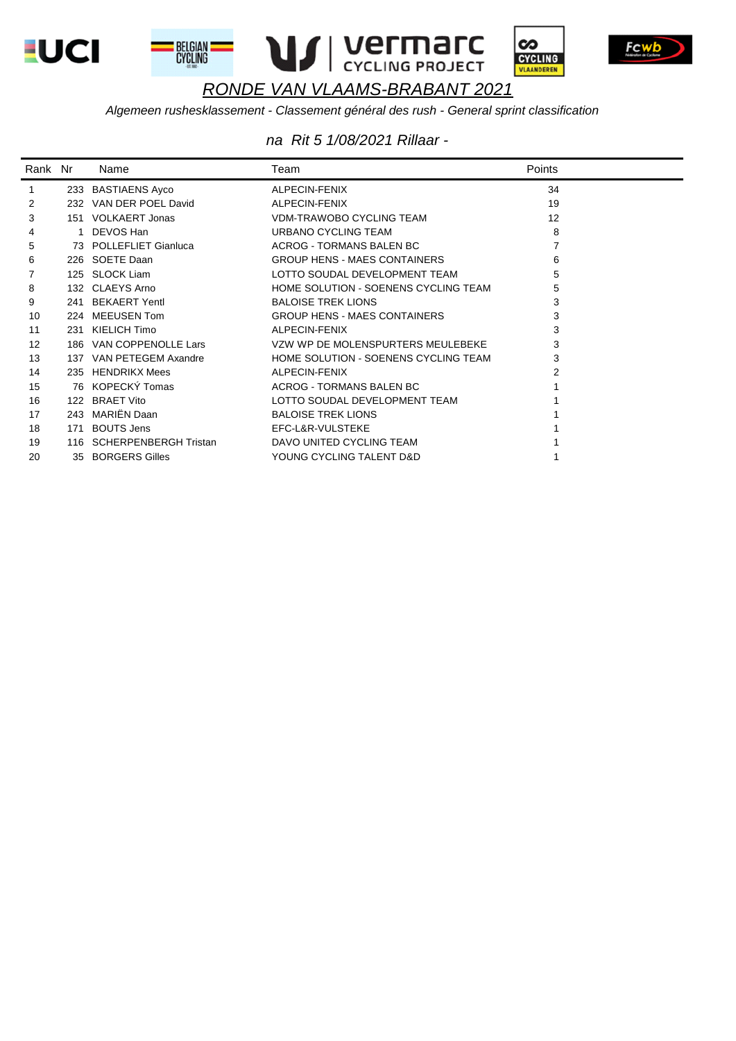









Algemeen rushesklassement - Classement général des rush - General sprint classification

| Rank Nr |     | Name                    | Team                                 | Points |
|---------|-----|-------------------------|--------------------------------------|--------|
|         |     | 233 BASTIAENS Ayco      | ALPECIN-FENIX                        | 34     |
| 2       |     | 232 VAN DER POEL David  | ALPECIN-FENIX                        | 19     |
| 3       |     | 151 VOLKAERT Jonas      | <b>VDM-TRAWOBO CYCLING TEAM</b>      | 12     |
| 4       | 1   | DEVOS Han               | URBANO CYCLING TEAM                  | 8      |
| 5       |     | 73 POLLEFLIET Gianluca  | <b>ACROG - TORMANS BALEN BC</b>      |        |
| 6       |     | 226 SOETE Daan          | <b>GROUP HENS - MAES CONTAINERS</b>  | 6      |
|         |     | 125 SLOCK Liam          | LOTTO SOUDAL DEVELOPMENT TEAM        | 5      |
| 8       |     | 132 CLAEYS Arno         | HOME SOLUTION - SOENENS CYCLING TEAM | 5      |
| 9       | 241 | <b>BEKAERT Yentl</b>    | <b>BALOISE TREK LIONS</b>            | 3      |
| 10      | 224 | <b>MEEUSEN Tom</b>      | <b>GROUP HENS - MAES CONTAINERS</b>  | 3      |
| 11      | 231 | KIELICH Timo            | ALPECIN-FENIX                        | 3      |
| 12      |     | 186 VAN COPPENOLLE Lars | VZW WP DE MOLENSPURTERS MEULEBEKE    | 3      |
| 13      | 137 | VAN PETEGEM Axandre     | HOME SOLUTION - SOENENS CYCLING TEAM | 3      |
| 14      | 235 | <b>HENDRIKX Mees</b>    | ALPECIN-FENIX                        |        |
| 15      |     | 76 KOPECKÝ Tomas        | <b>ACROG - TORMANS BALEN BC</b>      |        |
| 16      |     | 122 BRAET Vito          | LOTTO SOUDAL DEVELOPMENT TEAM        |        |
| 17      | 243 | MARIËN Daan             | <b>BALOISE TREK LIONS</b>            |        |
| 18      | 171 | <b>BOUTS Jens</b>       | EFC-L&R-VULSTEKE                     |        |
| 19      | 116 | SCHERPENBERGH Tristan   | DAVO UNITED CYCLING TEAM             |        |
| 20      |     | 35 BORGERS Gilles       | YOUNG CYCLING TALENT D&D             |        |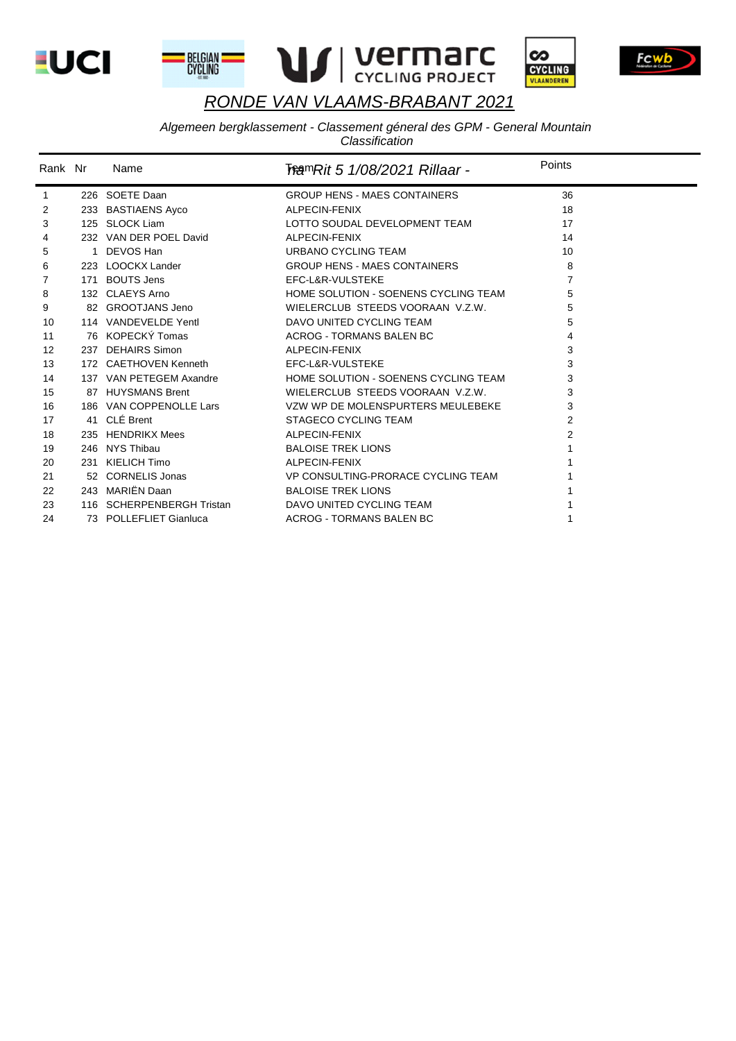







Fcwl

# RONDE VAN VLAAMS-BRABANT 2021

# Algemeen bergklassement - Classement géneral des GPM - General Mountain<br>Classification

| Rank Nr | Name                      | ि <i>क्षिणRit 5 1/08/2021 Rillaar -</i> | Points         |
|---------|---------------------------|-----------------------------------------|----------------|
| 1       | 226 SOETE Daan            | <b>GROUP HENS - MAES CONTAINERS</b>     | 36             |
| 2       | 233 BASTIAENS Ayco        | ALPECIN-FENIX                           | 18             |
| 3       | 125 SLOCK Liam            | LOTTO SOUDAL DEVELOPMENT TEAM           | 17             |
| 4       | 232 VAN DER POEL David    | ALPECIN-FENIX                           | 14             |
| 5       | 1 DEVOS Han               | URBANO CYCLING TEAM                     | 10             |
| 6       | 223 LOOCKX Lander         | <b>GROUP HENS - MAES CONTAINERS</b>     | 8              |
| 7       | 171 BOUTS Jens            | EFC-L&R-VULSTEKE                        | 7              |
| 8       | 132 CLAEYS Arno           | HOME SOLUTION - SOENENS CYCLING TEAM    | 5              |
| 9       | 82 GROOTJANS Jeno         | WIELERCLUB STEEDS VOORAAN V.Z.W.        | 5              |
| 10      | 114 VANDEVELDE Yentl      | DAVO UNITED CYCLING TEAM                | 5              |
| 11      | 76 KOPECKÝ Tomas          | <b>ACROG - TORMANS BALEN BC</b>         | 4              |
| 12      | 237 DEHAIRS Simon         | ALPECIN-FENIX                           | 3              |
| 13      | 172 CAETHOVEN Kenneth     | EFC-L&R-VULSTEKE                        | 3              |
| 14      | 137 VAN PETEGEM Axandre   | HOME SOLUTION - SOENENS CYCLING TEAM    | 3              |
| 15      | 87 HUYSMANS Brent         | WIELERCLUB STEEDS VOORAAN V.Z.W.        | 3              |
| 16      | 186 VAN COPPENOLLE Lars   | VZW WP DE MOLENSPURTERS MEULEBEKE       | 3              |
| 17      | 41 CLÉ Brent              | <b>STAGECO CYCLING TEAM</b>             | $\overline{2}$ |
| 18      | 235 HENDRIKX Mees         | ALPECIN-FENIX                           | 2              |
| 19      | 246 NYS Thibau            | <b>BALOISE TREK LIONS</b>               |                |
| 20      | 231 KIELICH Timo          | ALPECIN-FENIX                           |                |
| 21      | 52 CORNELIS Jonas         | VP CONSULTING-PRORACE CYCLING TEAM      |                |
| 22      | 243 MARIËN Daan           | <b>BALOISE TREK LIONS</b>               |                |
| 23      | 116 SCHERPENBERGH Tristan | DAVO UNITED CYCLING TEAM                |                |
| 24      | 73 POLLEFLIET Gianluca    | <b>ACROG - TORMANS BALEN BC</b>         |                |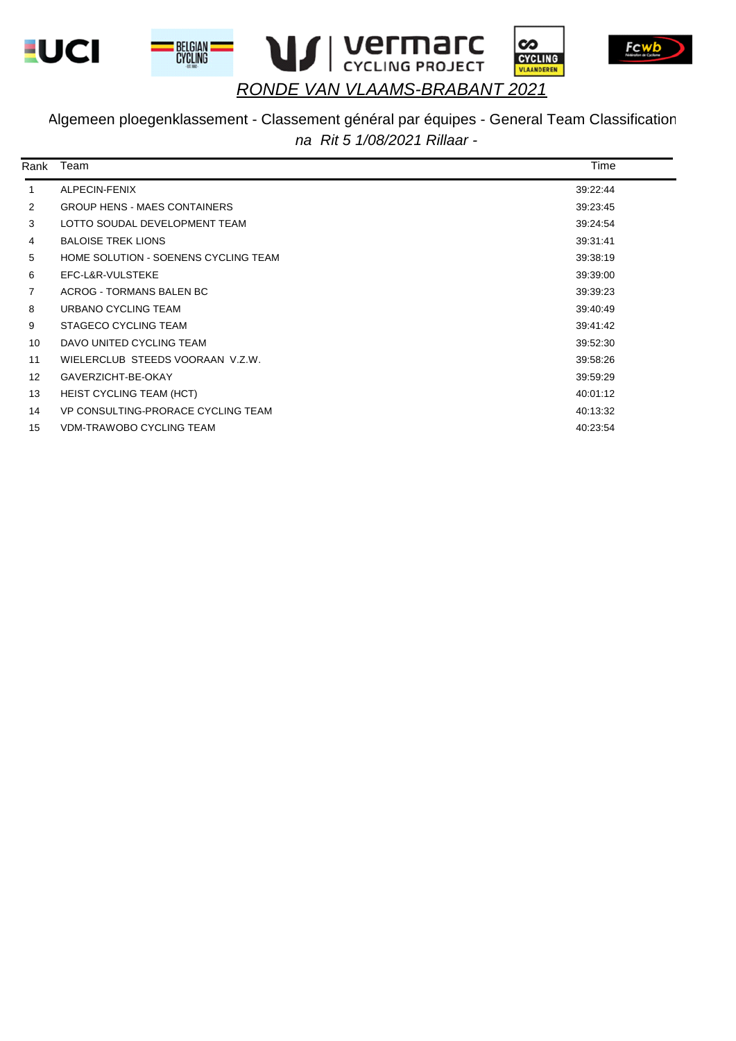







 $\infty$ 

CYCLING<br>VLAANDEREN

# *RONDE VAN VLAAMS-BRABANT 2021*

#### Algemeen ploegenklassement - Classement général par équipes - General Team Classification *na Rit 5 1/08/2021 Rillaar -*

| Rank              | Team                                 | Time     |
|-------------------|--------------------------------------|----------|
| 1                 | ALPECIN-FENIX                        | 39:22:44 |
| $\overline{2}$    | <b>GROUP HENS - MAES CONTAINERS</b>  | 39:23:45 |
| 3                 | LOTTO SOUDAL DEVELOPMENT TEAM        | 39:24:54 |
| 4                 | <b>BALOISE TREK LIONS</b>            | 39:31:41 |
| 5                 | HOME SOLUTION - SOENENS CYCLING TEAM | 39:38:19 |
| 6                 | EFC-L&R-VULSTEKE                     | 39:39:00 |
| $\overline{7}$    | ACROG - TORMANS BALEN BC             | 39:39:23 |
| 8                 | URBANO CYCLING TEAM                  | 39:40:49 |
| 9                 | STAGECO CYCLING TEAM                 | 39:41:42 |
| 10                | DAVO UNITED CYCLING TEAM             | 39:52:30 |
| 11                | WIELERCLUB STEEDS VOORAAN V.Z.W.     | 39:58:26 |
| $12 \overline{ }$ | GAVERZICHT-BE-OKAY                   | 39.59.29 |
| 13                | <b>HEIST CYCLING TEAM (HCT)</b>      | 40:01:12 |
| 14                | VP CONSULTING-PRORACE CYCLING TEAM   | 40:13:32 |
| 15                | <b>VDM-TRAWOBO CYCLING TEAM</b>      | 40:23:54 |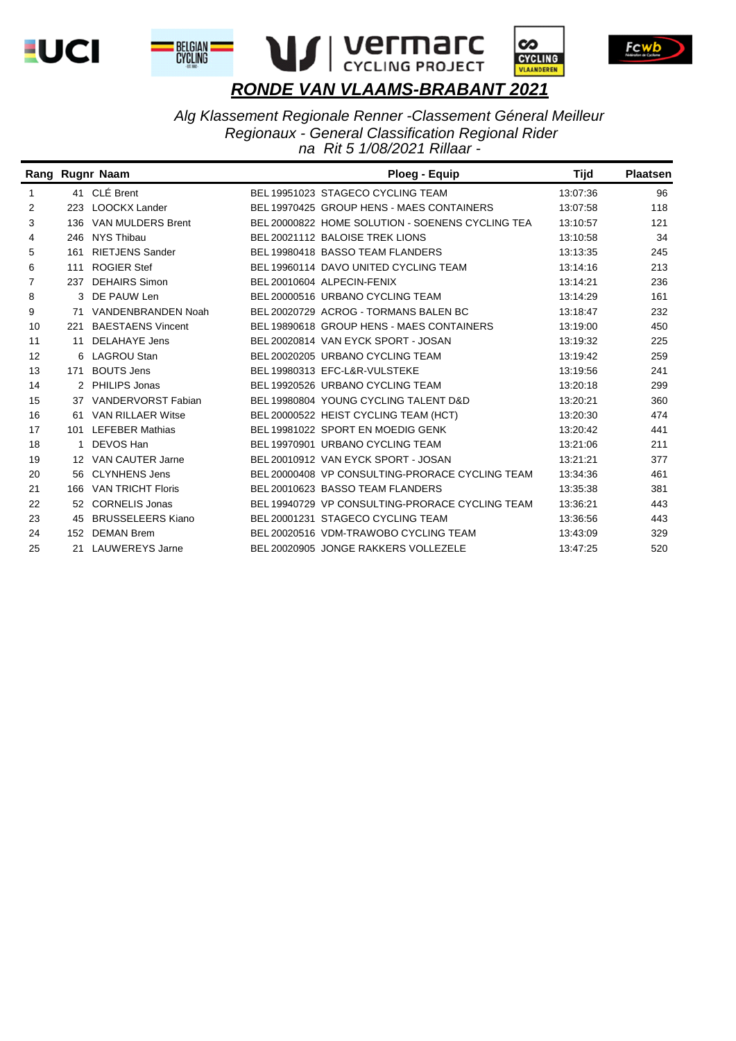









*Alg Klassement Regionale Renner -Classement Géneral Meilleur Regionaux - General Classification Regional Rider na Rit 5 1/08/2021 Rillaar -* 

|                   |     | Rang Rugnr Naam          | Ploeg - Equip                                    | Tijd     | <b>Plaatsen</b> |
|-------------------|-----|--------------------------|--------------------------------------------------|----------|-----------------|
| 1                 |     | 41 CLÉ Brent             | BEL 19951023 STAGECO CYCLING TEAM                | 13:07:36 | 96              |
| 2                 | 223 | <b>LOOCKX Lander</b>     | BEL 19970425 GROUP HENS - MAES CONTAINERS        | 13:07:58 | 118             |
| 3                 |     | 136 VAN MULDERS Brent    | BEL 20000822 HOME SOLUTION - SOENENS CYCLING TEA | 13:10:57 | 121             |
| 4                 | 246 | NYS Thibau               | BEL 20021112 BALOISE TREK LIONS                  | 13:10:58 | 34              |
| 5                 | 161 | <b>RIETJENS Sander</b>   | BEL 19980418 BASSO TEAM FLANDERS                 | 13:13:35 | 245             |
| 6                 | 111 | <b>ROGIER Stef</b>       | BEL 19960114 DAVO UNITED CYCLING TEAM            | 13:14:16 | 213             |
| 7                 | 237 | <b>DEHAIRS Simon</b>     | BEL 20010604 ALPECIN-FENIX                       | 13:14:21 | 236             |
| 8                 |     | 3 DE PAUW Len            | BEL 20000516 URBANO CYCLING TEAM                 | 13:14:29 | 161             |
| 9                 | 71  | VANDENBRANDEN Noah       | BEL 20020729 ACROG - TORMANS BALEN BC            | 13:18:47 | 232             |
| 10                | 221 | <b>BAESTAENS Vincent</b> | BEL 19890618 GROUP HENS - MAES CONTAINERS        | 13:19:00 | 450             |
| 11                | 11  | DELAHAYE Jens            | BEL 20020814 VAN EYCK SPORT - JOSAN              | 13:19:32 | 225             |
| $12 \overline{ }$ |     | 6 LAGROU Stan            | BEL 20020205 URBANO CYCLING TEAM                 | 13:19:42 | 259             |
| 13                | 171 | <b>BOUTS Jens</b>        | BEL 19980313 EFC-L&R-VULSTEKE                    | 13:19:56 | 241             |
| 14                |     | 2 PHILIPS Jonas          | BEL 19920526 URBANO CYCLING TEAM                 | 13:20:18 | 299             |
| 15                |     | 37 VANDERVORST Fabian    | BEL 19980804 YOUNG CYCLING TALENT D&D            | 13:20:21 | 360             |
| 16                | 61  | <b>VAN RILLAER Witse</b> | BEL 20000522 HEIST CYCLING TEAM (HCT)            | 13:20:30 | 474             |
| 17                |     | 101 LEFEBER Mathias      | BEL 19981022 SPORT EN MOEDIG GENK                | 13:20:42 | 441             |
| 18                |     | DEVOS Han                | BEL 19970901 URBANO CYCLING TEAM                 | 13:21:06 | 211             |
| 19                |     | 12 VAN CAUTER Jarne      | BEL 20010912 VAN EYCK SPORT - JOSAN              | 13:21:21 | 377             |
| 20                |     | 56 CLYNHENS Jens         | BEL 20000408 VP CONSULTING-PRORACE CYCLING TEAM  | 13:34:36 | 461             |
| 21                |     | 166 VAN TRICHT Floris    | BEL 20010623 BASSO TEAM FLANDERS                 | 13:35:38 | 381             |
| 22                |     | 52 CORNELIS Jonas        | BEL 19940729 VP CONSULTING-PRORACE CYCLING TEAM  | 13:36:21 | 443             |
| 23                | 45  | <b>BRUSSELEERS Kiano</b> | BEL 20001231 STAGECO CYCLING TEAM                | 13:36:56 | 443             |
| 24                |     | 152 DEMAN Brem           | BEL 20020516 VDM-TRAWOBO CYCLING TEAM            | 13:43:09 | 329             |
| 25                | 21  | <b>LAUWEREYS Jarne</b>   | BEL 20020905 JONGE RAKKERS VOLLEZELE             | 13:47:25 | 520             |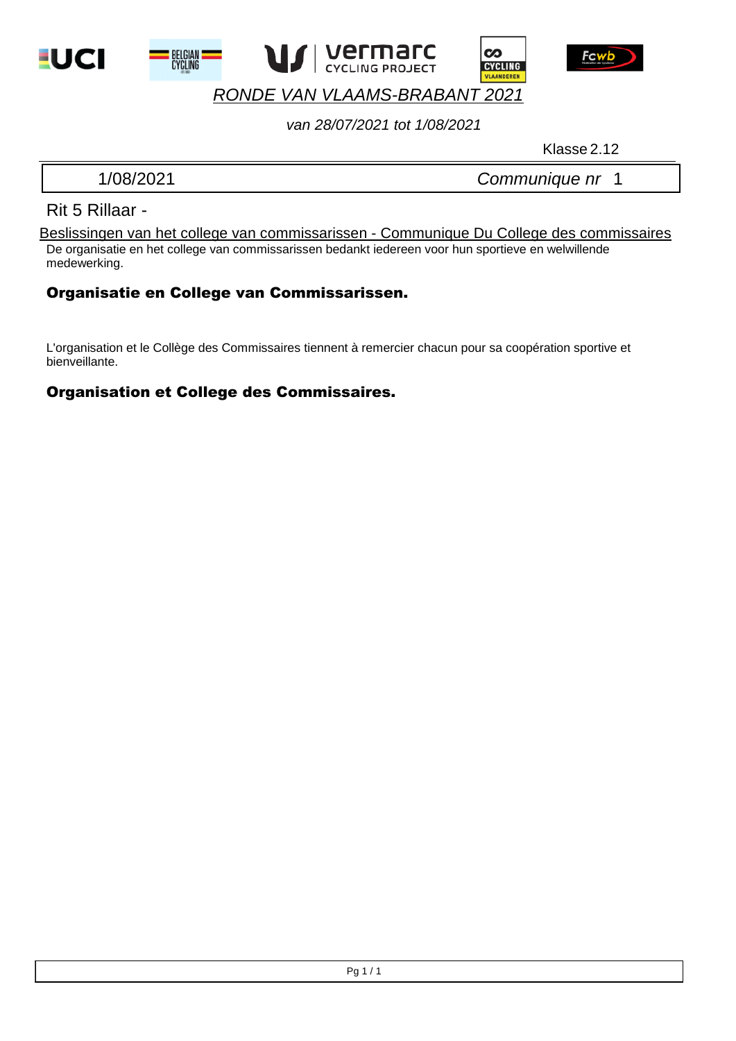







#### *van 28/07/2021 tot 1/08/2021*

Klasse 2.12

1/08/2021 *Communique nr* 1

മ

**CYCLING** 

#### Rit 5 Rillaar -

De organisatie en het college van commissarissen bedankt iedereen voor hun sportieve en welwillende medewerking. Beslissingen van het college van commissarissen - Communique Du College des commissaires

#### Organisatie en College van Commissarissen.

L'organisation et le Collège des Commissaires tiennent à remercier chacun pour sa coopération sportive et bienveillante.

#### Organisation et College des Commissaires.